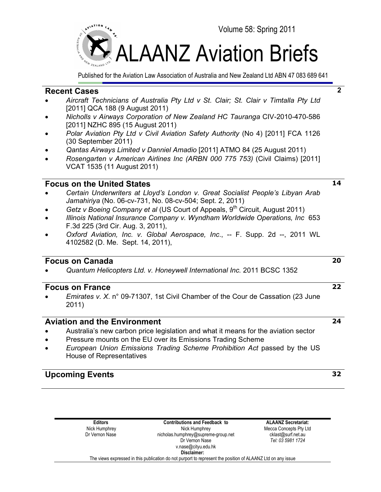

Published for the Aviation Law Association of Australia and New Zealand Ltd ABN 47 083 689 641

## **Recent Cases**

- *Aircraft Technicians of Australia Pty Ltd v St. Clair; St. Clair v Timtalla Pty Ltd* [2011] QCA 188 (9 August 2011)
- *Nicholls v Airways Corporation of New Zealand HC Tauranga* CIV-2010-470-586 [2011] NZHC 895 (15 August 2011)
- *Polar Aviation Pty Ltd v Civil Aviation Safety Authority* (No 4) [2011] FCA 1126 (30 September 2011)
- *Qantas Airways Limited v Danniel Amadio* [2011] ATMO 84 (25 August 2011)
- *Rosengarten v American Airlines Inc (ARBN 000 775 753)* (Civil Claims) [2011] VCAT 1535 (11 August 2011)

## **Focus on the United States**

- *Certain Underwriters at Lloyd's London v. Great Socialist People's Libyan Arab Jamahiriya* (No. 06-cv-731, No. 08-cv-504; Sept. 2, 2011)
- *Getz v Boeing Company et al (US Court of Appeals, 9<sup>th</sup> Circuit, August 2011)*
- *Illinois National Insurance Company v. Wyndham Worldwide Operations, Inc* 653 F.3d 225 (3rd Cir. Aug. 3, 2011),
- *Oxford Aviation, Inc. v. Global Aerospace, Inc*., -- F. Supp. 2d --, 2011 WL 4102582 (D. Me. Sept. 14, 2011),

## **Focus on Canada**

• *Quantum Helicopters Ltd. v. Honeywell International Inc.* 2011 BCSC 1352

## **Focus on France**

• *Emirates v. X*. n° 09-71307, 1st Civil Chamber of the Cour de Cassation (23 June 2011)

## **Aviation and the Environment**

- Australia's new carbon price legislation and what it means for the aviation sector
- Pressure mounts on the EU over its Emissions Trading Scheme
- *European Union Emissions Trading Scheme Prohibition Act* passed by the US House of Representatives

## **Upcoming Events <sup>32</sup>**

**Editors** Nick Humphrey Dr Vernon Nase **Contributions and Feedback to** Nick Humphrey nicholas.humphrey@supreme-group.net Dr Vernon Nase v.nase@cityu.edu.hk **ALAANZ Secretariat:** Mecca Concepts Pty Ltd cklast@surf.net.au *Tel: 03 5981 1724*  **Disclaimer:** The views expressed in this publication do not purport to represent the position of ALAANZ Ltd on any issue

# **24**

**2**

**20**

**14**

**22**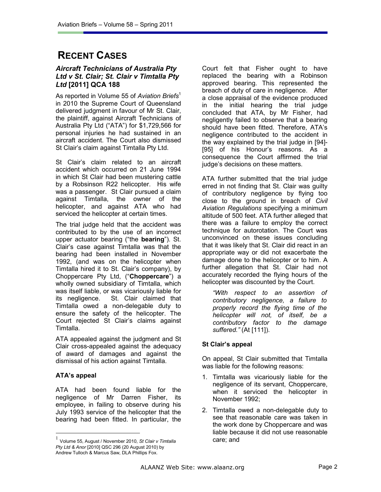## **RECENT CASES**

## *Aircraft Technicians of Australia Pty Ltd v St. Clair; St. Clair v Timtalla Pty Ltd* **[2011] QCA 188**

As reported in Volume 55 of *Aviation Briefs*<sup>1</sup> in 2010 the Supreme Court of Queensland delivered judgment in favour of Mr St. Clair, the plaintiff, against Aircraft Technicians of Australia Pty Ltd ("ATA") for \$1,729,566 for personal injuries he had sustained in an aircraft accident. The Court also dismissed St Clair's claim against Timtalla Pty Ltd.

St Clair's claim related to an aircraft accident which occurred on 21 June 1994 in which St Clair had been mustering cattle by a Robsinson R22 helicopter. His wife was a passenger. St Clair pursued a claim against Timtalla, the owner of the helicopter, and against ATA who had serviced the helicopter at certain times.

The trial judge held that the accident was contributed to by the use of an incorrect upper actuator bearing ("the **bearing**"). St. Clair's case against Timtalla was that the bearing had been installed in November 1992, (and was on the helicopter when Timtalla hired it to St. Clair's company), by Choppercare Pty Ltd, ("**Choppercare**") a wholly owned subsidiary of Timtalla, which was itself liable, or was vicariously liable for its negligence. St. Clair claimed that Timtalla owed a non-delegable duty to ensure the safety of the helicopter. The Court rejected St Clair's claims against Timtalla.

ATA appealed against the judgment and St Clair cross-appealed against the adequacy of award of damages and against the dismissal of his action against Timtalla.

## **ATA's appeal**

 $\overline{a}$ 

ATA had been found liable for the negligence of Mr Darren Fisher, its employee, in failing to observe during his July 1993 service of the helicopter that the bearing had been fitted. In particular, the Court felt that Fisher ought to have replaced the bearing with a Robinson approved bearing. This represented the breach of duty of care in negligence. After a close appraisal of the evidence produced in the initial hearing the trial judge concluded that ATA, by Mr Fisher, had negligently failed to observe that a bearing should have been fitted. Therefore, ATA's negligence contributed to the accident in the way explained by the trial judge in [94]- [95] of his Honour's reasons. As a consequence the Court affirmed the trial judge's decisions on these matters.

ATA further submitted that the trial judge erred in not finding that St. Clair was guilty of contributory negligence by flying too close to the ground in breach of *Civil Aviation Regulations* specifying a minimum altitude of 500 feet. ATA further alleged that there was a failure to employ the correct technique for autorotation. The Court was unconvinced on these issues concluding that it was likely that St. Clair did react in an appropriate way or did not exacerbate the damage done to the helicopter or to him. A further allegation that St. Clair had not accurately recorded the flying hours of the helicopter was discounted by the Court.

*"With respect to an assertion of contributory negligence, a failure to properly record the flying time of the helicopter will not, of itself, be a contributory factor to the damage suffered."* (At [111]).

## **St Clair's appeal**

On appeal, St Clair submitted that Timtalla was liable for the following reasons:

- 1. Timtalla was vicariously liable for the negligence of its servant, Choppercare, when it serviced the helicopter in November 1992;
- 2. Timtalla owed a non-delegable duty to see that reasonable care was taken in the work done by Choppercare and was liable because it did not use reasonable care; and

<sup>1</sup> Volume 55, August / November 2010, *St Clair v Timtalla Pty Ltd & Anor* [2010] QSC 296 (20 August 2010) by Andrew Tulloch & Marcus Saw, DLA Phillips Fox.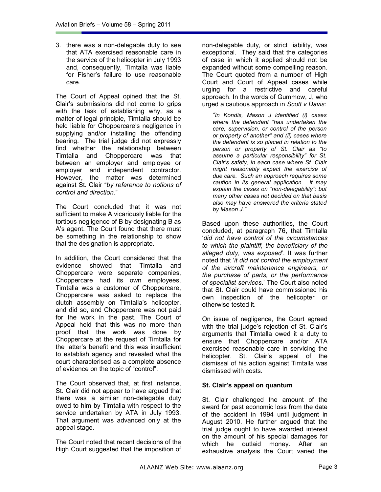3. there was a non-delegable duty to see that ATA exercised reasonable care in the service of the helicopter in July 1993 and, consequently, Timtalla was liable for Fisher's failure to use reasonable care.

The Court of Appeal opined that the St. Clair's submissions did not come to grips with the task of establishing why, as a matter of legal principle, Timtalla should be held liable for Choppercare's negligence in supplying and/or installing the offending bearing. The trial judge did not expressly find whether the relationship between Timtalla and Choppercare was that between an employer and employee or employer and independent contractor. However, the matter was determined against St. Clair "*by reference to notions of control and direction.*"

The Court concluded that it was not sufficient to make A vicariously liable for the tortious negligence of B by designating B as A's agent. The Court found that there must be something in the relationship to show that the designation is appropriate.

In addition, the Court considered that the evidence showed that Timtalla and Choppercare were separate companies, Choppercare had its own employees, Timtalla was a customer of Choppercare, Choppercare was asked to replace the clutch assembly on Timtalla's helicopter, and did so, and Choppercare was not paid for the work in the past. The Court of Appeal held that this was no more than proof that the work was done by Choppercare at the request of Timtalla for the latter's benefit and this was insufficient to establish agency and revealed what the court characterised as a complete absence of evidence on the topic of "control".

The Court observed that, at first instance, St. Clair did not appear to have argued that there was a similar non-delegable duty owed to him by Timtalla with respect to the service undertaken by ATA in July 1993. That argument was advanced only at the appeal stage.

The Court noted that recent decisions of the High Court suggested that the imposition of non-delegable duty, or strict liability, was exceptional. They said that the categories of case in which it applied should not be expanded without some compelling reason. The Court quoted from a number of High Court and Court of Appeal cases while urging for a restrictive and careful approach. In the words of Gummow, J, who urged a cautious approach in *Scott v Davis*:

*"In Kondis, Mason J identified (i) cases where the defendant "has undertaken the care, supervision, or control of the person or property of another" and (ii) cases where the defendant is so placed in relation to the person or property of St. Clair as "to assume a particular responsibility" for St. Clair's safety, in each case where St. Clair might reasonably expect the exercise of due care. Such an approach requires some caution in its general application. It may explain the cases on "non-delegability"; but many other cases not decided on that basis also may have answered the criteria stated by Mason J."* 

Based upon these authorities, the Court concluded, at paragraph 76, that Timtalla '*did not have control of the circumstances to which the plaintiff, the beneficiary of the alleged duty, was exposed*'. It was further noted that '*it did not control the employment of the aircraft maintenance engineers, or the purchase of parts, or the performance of specialist services*.' The Court also noted that St. Clair could have commissioned his own inspection of the helicopter or otherwise tested it.

On issue of negligence, the Court agreed with the trial judge's rejection of St. Clair's arguments that Timtalla owed it a duty to ensure that Choppercare and/or ATA exercised reasonable care in servicing the helicopter. St. Clair's appeal of the dismissal of his action against Timtalla was dismissed with costs.

## **St. Clair's appeal on quantum**

St. Clair challenged the amount of the award for past economic loss from the date of the accident in 1994 until judgment in August 2010. He further argued that the trial judge ought to have awarded interest on the amount of his special damages for which he outlaid money. After an exhaustive analysis the Court varied the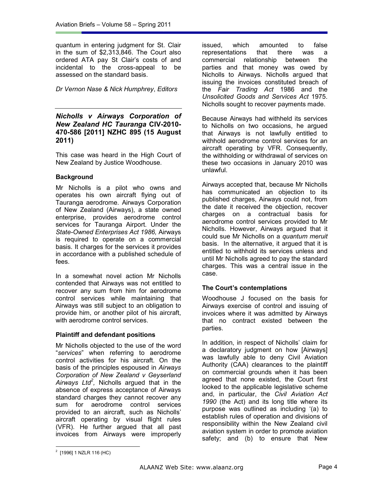quantum in entering judgment for St. Clair in the sum of \$2,313,846. The Court also ordered ATA pay St Clair's costs of and incidental to the cross-appeal to be assessed on the standard basis.

*Dr Vernon Nase & Nick Humphrey*, *Editors*

## *Nicholls v Airways Corporation of New Zealand HC Tauranga* **CIV-2010- 470-586 [2011] NZHC 895 (15 August 2011)**

This case was heard in the High Court of New Zealand by Justice Woodhouse.

## **Background**

Mr Nicholls is a pilot who owns and operates his own aircraft flying out of Tauranga aerodrome. Airways Corporation of New Zealand (Airways), a state owned enterprise, provides aerodrome control services for Tauranga Airport. Under the *State-Owned Enterprises Act 1986,* Airways is required to operate on a commercial basis. It charges for the services it provides in accordance with a published schedule of fees.

In a somewhat novel action Mr Nicholls contended that Airways was not entitled to recover any sum from him for aerodrome control services while maintaining that Airways was still subject to an obligation to provide him, or another pilot of his aircraft, with aerodrome control services.

## **Plaintiff and defendant positions**

Mr Nicholls objected to the use of the word "*services*" when referring to aerodrome control activities for his aircraft. On the basis of the principles espoused in *Airways Corporation of New Zealand v Geyserland Airways Ltd<sup>2</sup> ,* Nicholls argued that in the absence of express acceptance of Airways standard charges they cannot recover any sum for aerodrome control services provided to an aircraft, such as Nicholls' aircraft operating by visual flight rules (VFR). He further argued that all past invoices from Airways were improperly

issued, which amounted to false representations that there was a commercial relationship between the parties and that money was owed by Nicholls to Airways. Nicholls argued that issuing the invoices constituted breach of the *Fair Trading Act* 1986 and the *Unsolicited Goods and Services Act* 1975. Nicholls sought to recover payments made.

Because Airways had withheld its services to Nicholls on two occasions, he argued that Airways is not lawfully entitled to withhold aerodrome control services for an aircraft operating by VFR. Consequently, the withholding or withdrawal of services on these two occasions in January 2010 was unlawful.

Airways accepted that, because Mr Nicholls has communicated an objection to its published charges, Airways could not, from the date it received the objection, recover charges on a contractual basis for aerodrome control services provided to Mr Nicholls. However, Airways argued that it could sue Mr Nicholls on a *quantum meruit* basis. In the alternative, it argued that it is entitled to withhold its services unless and until Mr Nicholls agreed to pay the standard charges. This was a central issue in the case.

## **The Court's contemplations**

Woodhouse J focused on the basis for Airways exercise of control and issuing of invoices where it was admitted by Airways that no contract existed between the parties.

In addition, in respect of Nicholls' claim for a declaratory judgment on how [Airways] was lawfully able to deny Civil Aviation Authority (CAA) clearances to the plaintiff on commercial grounds when it has been agreed that none existed, the Court first looked to the applicable legislative scheme and, in particular, the *Civil Aviation Act 1990* (the Act) and its long title where its purpose was outlined as including '(a) to establish rules of operation and divisions of responsibility within the New Zealand civil aviation system in order to promote aviation safety; and (b) to ensure that New

 $2$  [1996] 1 NZLR 116 (HC)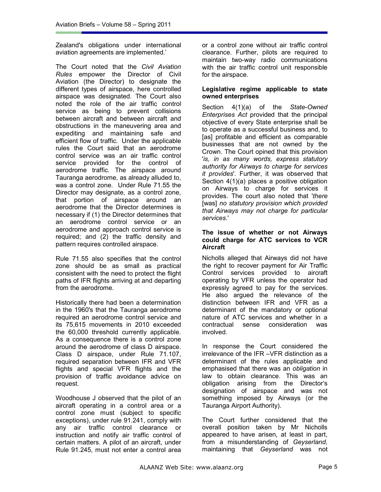Zealand's obligations under international aviation agreements are implemented.'

The Court noted that the *Civil Aviation Rules* empower the Director of Civil Aviation (the Director) to designate the different types of airspace, here controlled airspace was designated. The Court also noted the role of the air traffic control service as being to prevent collisions between aircraft and between aircraft and obstructions in the maneuvering area and expediting and maintaining safe and efficient flow of traffic. Under the applicable rules the Court said that an aerodrome control service was an air traffic control service provided for the control of aerodrome traffic. The airspace around Tauranga aerodrome, as already alluded to, was a control zone. Under Rule 71.55 the Director may designate, as a control zone, that portion of airspace around an aerodrome that the Director determines is necessary if (1) the Director determines that an aerodrome control service or an aerodrome and approach control service is required; and (2) the traffic density and pattern requires controlled airspace.

Rule 71.55 also specifies that the control zone should be as small as practical consistent with the need to protect the flight paths of IFR flights arriving at and departing from the aerodrome.

Historically there had been a determination in the 1960's that the Tauranga aerodrome required an aerodrome control service and its 75,615 movements in 2010 exceeded the 60,000 threshold currently applicable. As a consequence there is a control zone around the aerodrome of class D airspace. Class D airspace, under Rule 71.107, required separation between IFR and VFR flights and special VFR flights and the provision of traffic avoidance advice on request.

Woodhouse J observed that the pilot of an aircraft operating in a control area or a control zone must (subject to specific exceptions), under rule 91.241, comply with any air traffic control clearance or instruction and notify air traffic control of certain matters. A pilot of an aircraft, under Rule 91.245, must not enter a control area or a control zone without air traffic control clearance. Further, pilots are required to maintain two-way radio communications with the air traffic control unit responsible for the airspace.

#### **Legislative regime applicable to state owned enterprises**

Section 4(1)(a) of the *State-Owned Enterprises Act* provided that the principal objective of every State enterprise shall be to operate as a successful business and, to [as] profitable and efficient as comparable businesses that are not owned by the Crown. The Court opined that this provision '*is, in as many words, express statutory authority for Airways to charge for services it provides*'. Further, it was observed that Section 4(1)(a) places a positive obligation on Airways to charge for services it provides. The court also noted that '*there*  [was] *no statutory provision which provided that Airways may not charge for particular services*.'

#### **The issue of whether or not Airways could charge for ATC services to VCR Aircraft**

Nicholls alleged that Airways did not have the right to recover payment for Air Traffic Control services provided to aircraft operating by VFR unless the operator had expressly agreed to pay for the services. He also argued the relevance of the distinction between IFR and VFR as a determinant of the mandatory or optional nature of ATC services and whether in a contractual sense consideration was involved.

In response the Court considered the irrelevance of the IFR –VFR distinction as a determinant of the rules applicable and emphasised that there was an *obligation* in law to obtain clearance. This was an obligation arising from the Director's designation of airspace and was not something imposed by Airways (or the Tauranga Airport Authority).

The Court further considered that the overall position taken by Mr Nicholls appeared to have arisen, at least in part, from a misunderstanding of *Geyserland,*  maintaining that *Geyserland* was not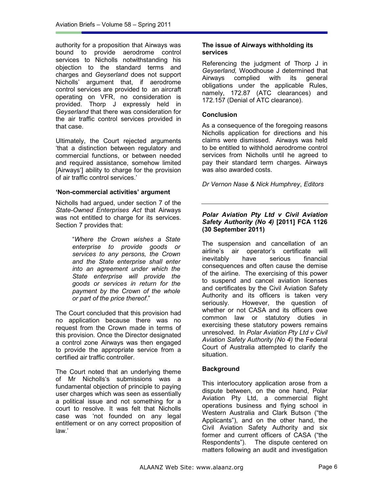authority for a proposition that Airways was bound to provide aerodrome control services to Nicholls notwithstanding his objection to the standard terms and charges and *Geyserland* does not support Nicholls' argument that, if aerodrome control services are provided to an aircraft operating on VFR, no consideration is provided. Thorp J expressly held in *Geyserland* that there was consideration for the air traffic control services provided in that case.

Ultimately, the Court rejected arguments 'that a distinction between regulatory and commercial functions, or between needed and required assistance, somehow limited [Airways'] ability to charge for the provision of air traffic control services.'

## **'Non-commercial activities' argument**

Nicholls had argued, under section 7 of the *State-Owned Enterprises Act* that Airways was not entitled to charge for its services. Section 7 provides that:

> "*Where the Crown wishes a State enterprise to provide goods or services to any persons, the Crown and the State enterprise shall enter into an agreement under which the State enterprise will provide the goods or services in return for the payment by the Crown of the whole or part of the price thereof*."

The Court concluded that this provision had no application because there was no request from the Crown made in terms of this provision. Once the Director designated a control zone Airways was then engaged to provide the appropriate service from a certified air traffic controller.

The Court noted that an underlying theme of Mr Nicholls's submissions was a fundamental objection of principle to paying user charges which was seen as essentially a political issue and not something for a court to resolve. It was felt that Nicholls case was 'not founded on any legal entitlement or on any correct proposition of law.'

## **The issue of Airways withholding its services**

Referencing the judgment of Thorp J in *Geyserland,* Woodhouse J determined that Airways complied with its general obligations under the applicable Rules, namely, 172.87 (ATC clearances) and 172.157 (Denial of ATC clearance).

## **Conclusion**

As a consequence of the foregoing reasons Nicholls application for directions and his claims were dismissed. Airways was held to be entitled to withhold aerodrome control services from Nicholls until he agreed to pay their standard term charges. Airways was also awarded costs.

*Dr Vernon Nase & Nick Humphrey*, *Editors*

#### *Polar Aviation Pty Ltd v Civil Aviation Safety Authority (No 4)* **[2011] FCA 1126 (30 September 2011)**

The suspension and cancellation of an airline's air operator's certificate will inevitably have serious financial consequences and often cause the demise of the airline. The exercising of this power to suspend and cancel aviation licenses and certificates by the Civil Aviation Safety Authority and its officers is taken very seriously. However, the question of whether or not CASA and its officers owe common law or statutory duties in exercising these statutory powers remains unresolved. In *Polar Aviation Pty Ltd v Civil Aviation Safety Authority (No 4)* the Federal Court of Australia attempted to clarify the situation.

## **Background**

This interlocutory application arose from a dispute between, on the one hand, Polar Aviation Pty Ltd, a commercial flight operations business and flying school in Western Australia and Clark Butson ("the Applicants"), and on the other hand, the Civil Aviation Safety Authority and six former and current officers of CASA ("the Respondents"). The dispute centered on matters following an audit and investigation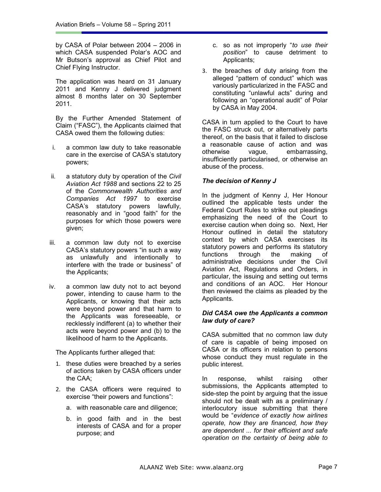by CASA of Polar between 2004 – 2006 in which CASA suspended Polar's AOC and Mr Butson's approval as Chief Pilot and Chief Flying Instructor.

The application was heard on 31 January 2011 and Kenny J delivered judgment almost 8 months later on 30 September 2011.

By the Further Amended Statement of Claim ("FASC"), the Applicants claimed that CASA owed them the following duties:

- i. a common law duty to take reasonable care in the exercise of CASA's statutory powers;
- ii. a statutory duty by operation of the *Civil Aviation Act 1988* and sections 22 to 25 of the *Commonwealth Authorities and Companies Act 1997* to exercise CASA's statutory powers lawfully, reasonably and in "good faith" for the purposes for which those powers were given;
- iii. a common law duty not to exercise CASA's statutory powers "in such a way as unlawfully and intentionally to interfere with the trade or business" of the Applicants;
- iv. a common law duty not to act beyond power, intending to cause harm to the Applicants, or knowing that their acts were beyond power and that harm to the Applicants was foreseeable, or recklessly indifferent (a) to whether their acts were beyond power and (b) to the likelihood of harm to the Applicants.

The Applicants further alleged that:

- 1. these duties were breached by a series of actions taken by CASA officers under the CAA;
- 2. the CASA officers were required to exercise "their powers and functions":
	- a. with reasonable care and diligence;
	- b. in good faith and in the best interests of CASA and for a proper purpose; and
- c. so as not improperly "*to use their position*" to cause detriment to Applicants;
- 3. the breaches of duty arising from the alleged "pattern of conduct" which was variously particularized in the FASC and constituting "unlawful acts" during and following an "operational audit" of Polar by CASA in May 2004.

CASA in turn applied to the Court to have the FASC struck out, or alternatively parts thereof, on the basis that it failed to disclose a reasonable cause of action and was otherwise vague, embarrassing, insufficiently particularised, or otherwise an abuse of the process.

## *The decision of Kenny J*

In the judgment of Kenny J, Her Honour outlined the applicable tests under the Federal Court Rules to strike out pleadings emphasizing the need of the Court to exercise caution when doing so. Next, Her Honour outlined in detail the statutory context by which CASA exercises its statutory powers and performs its statutory functions through the making of administrative decisions under the Civil Aviation Act, Regulations and Orders, in particular, the issuing and setting out terms and conditions of an AOC. Her Honour then reviewed the claims as pleaded by the Applicants.

#### *Did CASA owe the Applicants a common law duty of care?*

CASA submitted that no common law duty of care is capable of being imposed on CASA or its officers in relation to persons whose conduct they must regulate in the public interest.

In response, whilst raising other submissions, the Applicants attempted to side-step the point by arguing that the issue should not be dealt with as a preliminary / interlocutory issue submitting that there would be "*evidence of exactly how airlines operate, how they are financed, how they are dependent ... for their efficient and safe operation on the certainty of being able to*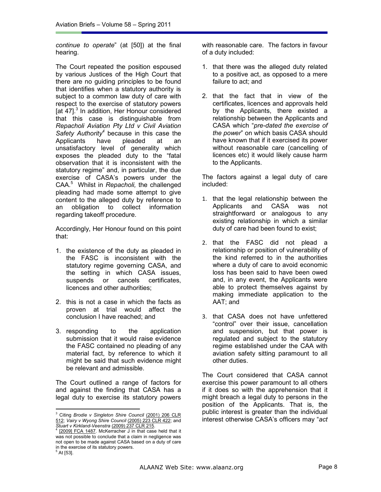*continue to operate*" (at [50]) at the final hearing.

The Court repeated the position espoused by various Justices of the High Court that there are no guiding principles to be found that identifies when a statutory authority is subject to a common law duty of care with respect to the exercise of statutory powers [at 47].<sup>3</sup> In addition, Her Honour considered that this case is distinguishable from *Repacholi Aviation Pty Ltd v Civil Aviation Safety Authority<sup>4</sup>* because in this case the Applicants have pleaded at an unsatisfactory level of generality which exposes the pleaded duty to the "fatal observation that it is inconsistent with the statutory regime" and, in particular, the due exercise of CASA's powers under the CAA.<sup>5</sup> Whilst in *Repacholi,* the challenged pleading had made some attempt to give content to the alleged duty by reference to an obligation to collect information regarding takeoff procedure.

Accordingly, Her Honour found on this point that:

- 1. the existence of the duty as pleaded in the FASC is inconsistent with the statutory regime governing CASA, and the setting in which CASA issues, suspends or cancels certificates, licences and other authorities;
- 2. this is not a case in which the facts as proven at trial would affect the conclusion I have reached; and
- 3. responding to the application submission that it would raise evidence the FASC contained no pleading of any material fact, by reference to which it might be said that such evidence might be relevant and admissible.

The Court outlined a range of factors for and against the finding that CASA has a legal duty to exercise its statutory powers

 $\overline{a}$ 

with reasonable care. The factors in favour of a duty included:

- 1. that there was the alleged duty related to a positive act, as opposed to a mere failure to act; and
- 2. that the fact that in view of the certificates, licences and approvals held by the Applicants, there existed a relationship between the Applicants and CASA which "*pre-dated the exercise of the power*" on which basis CASA should have known that if it exercised its power without reasonable care (cancelling of licences etc) it would likely cause harm to the Applicants.

The factors against a legal duty of care included:

- 1. that the legal relationship between the Applicants and CASA was not straightforward or analogous to any existing relationship in which a similar duty of care had been found to exist;
- 2. that the FASC did not plead a relationship or position of vulnerability of the kind referred to in the authorities where a duty of care to avoid economic loss has been said to have been owed and, in any event, the Applicants were able to protect themselves against by making immediate application to the AAT; and
- 3. that CASA does not have unfettered "control" over their issue, cancellation and suspension, but that power is regulated and subject to the statutory regime established under the CAA with aviation safety sitting paramount to all other duties.

The Court considered that CASA cannot exercise this power paramount to all others if it does so with the apprehension that it might breach a legal duty to persons in the position of the Applicants. That is, the public interest is greater than the individual interest otherwise CASA's officers may "*act* 

<sup>3</sup> Citing *Brodie v Singleton Shire Council* (2001) 206 CLR 512; *Vairy v Wyong Shire Council* (2005) 223 CLR 422; and *Stuart v Kirkland-Veenstra* (2009) 237 CLR 215. 4

<sup>[2009]</sup> FCA 1487. McKerracher J in that case held that it was not possible to conclude that a claim in negligence was not open to be made against CASA based on a duty of care in the exercise of its statutory powers. 5 At [53].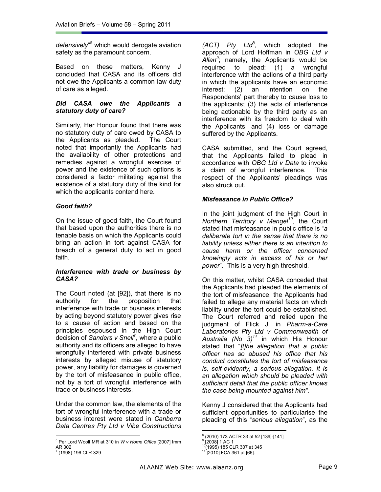defensively<sup>"6</sup> which would derogate aviation safety as the paramount concern.

Based on these matters, Kenny J concluded that CASA and its officers did not owe the Applicants a common law duty of care as alleged.

#### *Did CASA owe the Applicants a statutory duty of care?*

Similarly, Her Honour found that there was no statutory duty of care owed by CASA to the Applicants as pleaded. The Court noted that importantly the Applicants had the availability of other protections and remedies against a wrongful exercise of power and the existence of such options is considered a factor militating against the existence of a statutory duty of the kind for which the applicants contend here.

## *Good faith?*

On the issue of good faith, the Court found that based upon the authorities there is no tenable basis on which the Applicants could bring an action in tort against CASA for breach of a general duty to act in good faith.

#### *Interference with trade or business by CASA?*

The Court noted (at [92]), that there is no authority for the proposition that interference with trade or business interests by acting beyond statutory power gives rise to a cause of action and based on the principles espoused in the High Court decision of *Sanders v Snell*<sup>7</sup> , where a public authority and its officers are alleged to have wrongfully interfered with private business interests by alleged misuse of statutory power, any liability for damages is governed by the tort of misfeasance in public office, not by a tort of wrongful interference with trade or business interests.

Under the common law, the elements of the tort of wrongful interference with a trade or business interest were stated in *Canberra Data Centres Pty Ltd v Vibe Constructions* 

 $\overline{a}$ 

*(ACT) Pty Ltd<sup>8</sup>* , which adopted the approach of Lord Hoffman in *OBG Ltd v Allan<sup>9</sup>* ; namely, the Applicants would be required to plead: (1) a wrongful interference with the actions of a third party in which the applicants have an economic interest; (2) an intention on the Respondents' part thereby to cause loss to the applicants; (3) the acts of interference being actionable by the third party as an interference with its freedom to deal with the Applicants; and (4) loss or damage suffered by the Applicants.

CASA submitted, and the Court agreed, that the Applicants failed to plead in accordance with *OBG Ltd v Data* to invoke a claim of wrongful interference. This respect of the Applicants' pleadings was also struck out.

## *Misfeasance in Public Office?*

In the joint judgment of the High Court in *Northern Territory v Mengel<sup>10</sup>*, the Court stated that misfeasance in public office is "*a deliberate tort in the sense that there is no liability unless either there is an intention to cause harm or the officer concerned knowingly acts in excess of his or her power*". This is a very high threshold.

On this matter, whilst CASA conceded that the Applicants had pleaded the elements of the tort of misfeasance, the Applicants had failed to allege any material facts on which liability under the tort could be established. The Court referred and relied upon the judgment of Flick J, in *Pharm-a-Care Laboratories Pty Ltd v Commonwealth of Australia (No 3)<sup>11</sup>* in which His Honour stated that "*[t]he allegation that a public officer has so abused his office that his conduct constitutes the tort of misfeasance is, self-evidently, a serious allegation. It is an allegation which should be pleaded with sufficient detail that the public officer knows the case being mounted against him"*.

Kenny J considered that the Applicants had sufficient opportunities to particularise the pleading of this "*serious allegation*", as the

<sup>6</sup> Per Lord Woolf MR at 310 in *W v Home Office* [2007] Imm AR 302

 <sup>(1998) 196</sup> CLR 329

<sup>8</sup> (2010) 173 ACTR 33 at 52 [139]-[141]

<sup>&</sup>lt;sup>9</sup> [2008] 1 AC 1

<sup>&</sup>lt;sup>10</sup>(1995) 185 CLR 307 at 345 <sup>11</sup> [2010] FCA 361 at [66].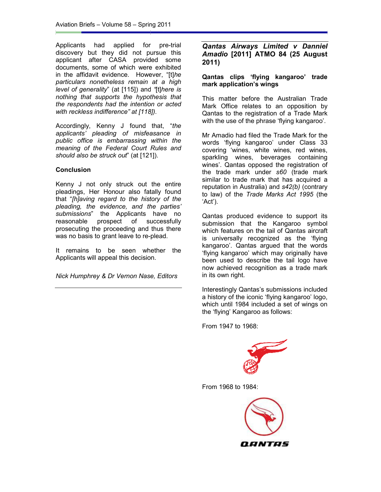Applicants had applied for pre-trial discovery but they did not pursue this<br>applicant after CASA provided some<br>documents, some of which were-exhibited applicant after CASA provided some documents, some of which were exhibited in the affidavit evidence. However, "[t]he *particulars nonetheless remain at a high remain level of generality*" (at [115]) and "[t]*here is nothing that supports the hypothesis that the respondents had the intention or acted with reckless indifference" at [118]). the hypothesis that*<br>*he intention or acted*<br>*e" at [118]).*<br>I found that, "*the* 

Accordingly, Kenny J found that, "the applicants' pleading of misfeasance in *public office is embarrassing within the meaning of the Federal Court Rules and should also be struck out*" (at [121]).

## **Conclusion**

Kenny J not only struck out the entire pleadings, Her Honour also fatally found that "*[h]aving regard to the history of the pleading, the evidence, and the parties' aving vidence, submissions*" the Applicants have no reasonable prospect of successfully prosecuting the proceeding and thus there was no basis to grant leave to re-plead. the Applicants have no<br>prospect of successfully<br>the proceeding and thus there<br>it to grant leave to re-plead.<br>to be seen whether the<br>ill appeal this decision.

It remains to be seen whether the Applicants will appeal this decision

*Nick Humphrey & Dr Vernon Nase, Editors*

## *Amadio* **[2011] ATMO 84 (25 August 2011) Qantas Airways Limited v Danniel**

## **Qantas clips 'flying kangaroo' trade mark application's wings**

This matter before the Australian Trade Mark Office relates to an opposition by Qantas to the registration of a Trade Mark with the use of the phrase 'flying kangaroo'.

Applicants had applied for pre-final **Annalos** Airways Limited v Danniel Applicant after CASA provided some<br>applicant affect CASA provided some and altigative discussion of the difficulty discussion of the difficulties. Ho Mr Amadio had filed the Trade Mark for the words 'flying kangaroo' under Class 33 covering 'wines, white wines, red wines, sparkling wines, beverages containing wines'. Qantas opposed the registration of the trade mark under *s60*  similar to trade mark that has acquired a reputation in Australia) and *s42(b)*  (contrary to law) of the *Trade Marks Act 1995* (the 'Act'). s matter before the Australian Trade<br>
rk Office relates to an opposition by<br>
ntas to the registration of a Trade Mark<br>
i the use of the phrase 'flying kangaroo'.<br>
Amadio had filed the Trade Mark for the<br>
ds 'flying kangaro

Qantas produced evidence to support its submission that the Kangaroo symbol which features on the tail of Qantas aircraft is universally recognized as the 'flying kangaroo'. Qantas argued that the words 'flying kangaroo' which may originally have been used to describe the tail logo have now achieved recognition as a trade mark in its own right. Qantas produced evidence to support its<br>submission that the Kangaroo symbol<br>which features on the tail of Qantas aircraft<br>is universally recognized as the 'flying<br>kangaroo'. Qantas argued that the words<br>'flying kangaroo' w

Interestingly Qantas's submissions included a history of the iconic 'flying kangaroo' logo, which until 1984 included a set of wings on the 'flying' Kangaroo as follows:

From 1947 to 1968:



From 1968 to 1984:

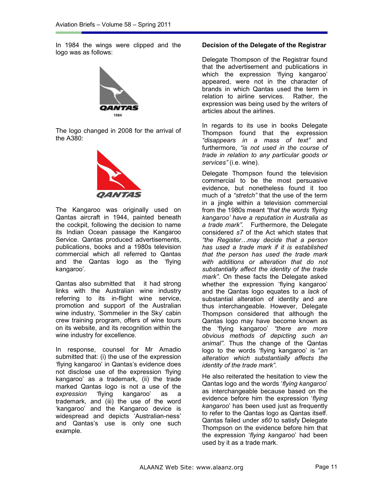In 1984 the wings were clipped and the logo was as follows:



The logo changed in 2008 for the arrival of the A380:



The Kangaroo was originally used on Qantas aircraft in 1944, painted beneath the cockpit, following the decision to name its Indian Ocean passage the Kangaroo Service. Qantas produced advertisements, publications, books and a 1980s television commercial which all referred to Qantas and the Qantas logo as the 'flying kangaroo'.

Qantas also submitted that it had strong links with the Australian wine industry referring to its in-flight wine service, promotion and support of the Australian wine industry, 'Sommelier in the Sky' cabin crew training program, offers of wine tours on its website, and its recognition within the wine industry for excellence.

In response, counsel for Mr Amadio submitted that: (i) the use of the expression 'flying kangaroo' in Qantas's evidence does not disclose use of the expression 'flying kangaroo' as a trademark, (ii) the trade marked Qantas logo is not a use of the *expression* 'flying kangaroo' as a trademark, and (iii) the use of the word 'kangaroo' and the Kangaroo device is widespread and depicts 'Australian-ness' and Qantas's use is only one such example.

#### **Decision of the Delegate of the Registrar**

Delegate Thompson of the Registrar found that the advertisement and publications in which the expression 'flying kangaroo' appeared, were not in the character of brands in which Qantas used the term in relation to airline services. Rather, the expression was being used by the writers of articles about the airlines.

In regards to its use in books Delegate Thompson found that the expression *"disappears in a mass of text"* and furthermore, *"is not used in the course of trade in relation to any particular goods or services"* (i.e. wine).

Delegate Thompson found the television commercial to be the most persuasive evidence, but nonetheless found it too much of a *"stretch"* that the use of the term in a jingle within a television commercial from the 1980s meant *"that the words 'flying kangaroo' have a reputation in Australia as a trade mark"*. Furthermore, the Delegate considered *s7* of the Act which states that *"the Register…may decide that a person has used a trade mark if it is established that the person has used the trade mark with additions or alteration that do not substantially affect the identity of the trade mark"*. On these facts the Delegate asked whether the expression 'flying kangaroo' and the Qantas logo equates to a *lack* of substantial alteration of identity and are thus interchangeable. However, Delegate Thompson considered that although the Qantas logo may have become known as the 'flying kangaroo' *"there are more obvious methods of depicting such an animal"*. Thus the change of the Qantas logo to the words 'flying kangaroo' is "*an alteration which substantially affects the identity of the trade mark"*.

He also reiterated the hesitation to view the Qantas logo and the words '*flying kangaroo*' as interchangeable because based on the evidence before him the expression '*flying kangaroo*' has been used just as frequently to refer to the Qantas logo as Qantas itself. Qantas failed under *s60* to satisfy Delegate Thompson on the evidence before him that the expression '*flying kangaroo*' had been used by it as a trade mark.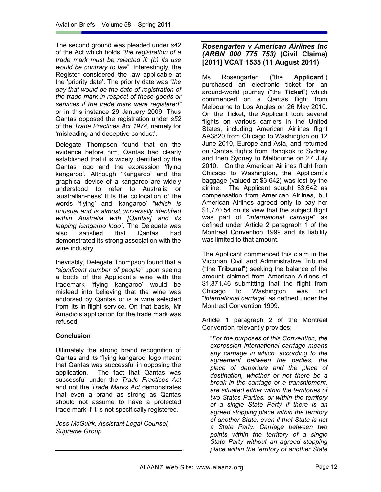The second ground was pleaded under *s42*  of the Act which holds *"the registration of a trade mark must be rejected if: (b) its use would be contrary to law*". Interestingly, the Register considered the law applicable at the 'priority date'. The priority date was *"the day that would be the date of registration of the trade mark in respect of those goods or services if the trade mark were registered"*  or in this instance 29 January 2009. Thus Qantas opposed the registration under *s52*  of the *Trade Practices Act 1974,* namely for 'misleading and deceptive conduct'.

Delegate Thompson found that on the evidence before him, Qantas had clearly established that it is widely identified by the Qantas logo and the expression 'flying kangaroo'. Although 'Kangaroo' and the graphical device of a kangaroo are widely understood to refer to Australia or 'australian-ness' it is the collocation of the words 'flying' and 'kangaroo' *"which is unusual and is almost universally identified within Australia with [Qantas] and its leaping kangaroo logo"*. The Delegate was also satisfied that Qantas had demonstrated its strong association with the wine industry.

Inevitably, Delegate Thompson found that a *"significant number of people"* upon seeing a bottle of the Applicant's wine with the trademark 'flying kangaroo' would be mislead into believing that the wine was endorsed by Qantas or is a wine selected from its in-flight service. On that basis, Mr Amadio's application for the trade mark was refused.

## **Conclusion**

Ultimately the strong brand recognition of Qantas and its 'flying kangaroo' logo meant that Qantas was successful in opposing the application. The fact that Qantas was successful under the *Trade Practices Act*  and not the *Trade Marks Act* demonstrates that even a brand as strong as Qantas should not assume to have a protected trade mark if it is not specifically registered.

*Jess McGuirk, Assistant Legal Counsel, Supreme Group* 

## *Rosengarten v American Airlines Inc (ARBN 000 775 753)* **(Civil Claims) [2011] VCAT 1535 (11 August 2011)**

Ms Rosengarten ("the **Applicant**") purchased an electronic ticket for an around-world journey ("the **Ticket**") which commenced on a Qantas flight from Melbourne to Los Angles on 26 May 2010. On the Ticket, the Applicant took several flights on various carriers in the United States, including American Airlines flight AA3820 from Chicago to Washington on 12 June 2010, Europe and Asia, and returned on Qantas flights from Bangkok to Sydney and then Sydney to Melbourne on 27 July 2010. On the American Airlines flight from Chicago to Washington, the Applicant's baggage (valued at \$3,642) was lost by the airline. The Applicant sought \$3,642 as compensation from American Airlines, but American Airlines agreed only to pay her \$1,770.54 on its view that the subject flight was part of "*international carriage*" as defined under Article 2 paragraph 1 of the Montreal Convention 1999 and its liability was limited to that amount.

The Applicant commenced this claim in the Victorian Civil and Administrative Tribunal ("the **Tribunal**") seeking the balance of the amount claimed from American Airlines of \$1,871.46 submitting that the flight from Chicago to Washington was not "*international carriage*" as defined under the Montreal Convention 1999.

Article 1 paragraph 2 of the Montreal Convention relevantly provides:

"*For the purposes of this Convention, the expression international carriage means any carriage in which, according to the agreement between the parties, the place of departure and the place of destination, whether or not there be a break in the carriage or a transhipment, are situated either within the territories of two States Parties, or within the territory of a single State Party if there is an agreed stopping place within the territory of another State, even if that State is not a State Party. Carriage between two points within the territory of a single State Party without an agreed stopping place within the territory of another State*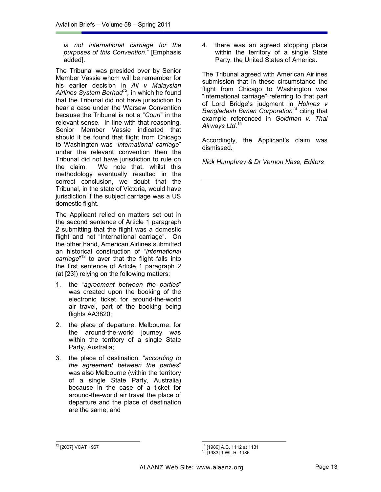*is not international carriage for the purposes of this Convention*." [Emphasis added].

The Tribunal was presided over by Senior Member Vassie whom will be remember for his earlier decision in *Ali v Malaysian Airlines System Berhad<sup>12</sup> ,* in which he found that the Tribunal did not have jurisdiction to hear a case under the Warsaw Convention because the Tribunal is not a "*Court*" in the relevant sense. In line with that reasoning, Senior Member Vassie indicated that should it be found that flight from Chicago to Washington was "*international carriage*" under the relevant convention then the Tribunal did not have jurisdiction to rule on the claim. We note that, whilst this methodology eventually resulted in the correct conclusion, we doubt that the Tribunal, in the state of Victoria, would have jurisdiction if the subject carriage was a US domestic flight.

The Applicant relied on matters set out in the second sentence of Article 1 paragraph 2 submitting that the flight was a domestic flight and not "International carriage". On the other hand, American Airlines submitted an historical construction of "*international carriage*" <sup>13</sup> to aver that the flight falls into the first sentence of Article 1 paragraph 2 (at [23]) relying on the following matters:

- 1. the "*agreement between the parties*" was created upon the booking of the electronic ticket for around-the-world air travel, part of the booking being flights AA3820;
- 2. the place of departure, Melbourne, for the around-the-world journey was within the territory of a single State Party, Australia;
- 3. the place of destination, "*according to the agreement between the parties*" was also Melbourne (within the territory of a single State Party, Australia) because in the case of a ticket for around-the-world air travel the place of departure and the place of destination are the same; and

4. there was an agreed stopping place within the territory of a single State Party, the United States of America.

The Tribunal agreed with American Airlines submission that in these circumstance the flight from Chicago to Washington was "international carriage" referring to that part of Lord Bridge's judgment in *Holmes v Bangladesh Biman Corporation<sup>14</sup>* citing that example referenced in *Goldman v. Thai Airways Ltd*. 15

Accordingly, the Applicant's claim was dismissed.

*Nick Humphrey & Dr Vernon Nase, Editors* 

 $\overline{a}$ 

<sup>12</sup> [2007] VCAT 1967

<sup>14</sup> [1989] A.C. 1112 at 1131

<sup>15</sup> [1983] 1 WL.R. 1186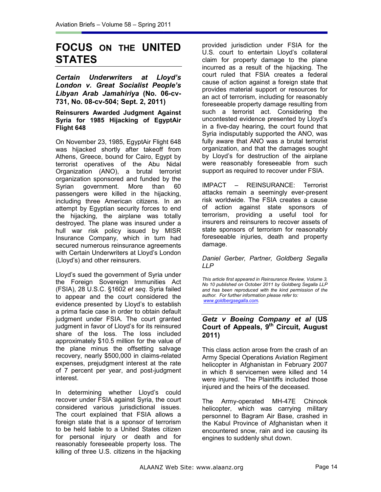## **FOCUS ON THE UNITED STATES**

*Certain Underwriters at Lloyd's London v. Great Socialist People's Libyan Arab Jamahiriya* **(No. 06-cv-731, No. 08-cv-504; Sept. 2, 2011)** 

#### **Reinsurers Awarded Judgment Against Syria for 1985 Hijacking of EgyptAir Flight 648**

On November 23, 1985, EgyptAir Flight 648 was hijacked shortly after takeoff from Athens, Greece, bound for Cairo, Egypt by terrorist operatives of the Abu Nidal Organization (ANO), a brutal terrorist organization sponsored and funded by the Syrian government. More than 60 passengers were killed in the hijacking, including three American citizens. In an attempt by Egyptian security forces to end the hijacking, the airplane was totally destroyed. The plane was insured under a hull war risk policy issued by MISR Insurance Company, which in turn had secured numerous reinsurance agreements with Certain Underwriters at Lloyd's London (Lloyd's) and other reinsurers.

Lloyd's sued the government of Syria under the Foreign Sovereign Immunities Act (FSIA), 28 U.S.C. §1602 *et seq*. Syria failed to appear and the court considered the evidence presented by Lloyd's to establish a prima facie case in order to obtain default judgment under FSIA. The court granted judgment in favor of Lloyd's for its reinsured share of the loss. The loss included approximately \$10.5 million for the value of the plane minus the offsetting salvage recovery, nearly \$500,000 in claims-related expenses, prejudgment interest at the rate of 7 percent per year, and post-judgment interest.

In determining whether Lloyd's could recover under FSIA against Syria, the court considered various jurisdictional issues. The court explained that FSIA allows a foreign state that is a sponsor of terrorism to be held liable to a United States citizen for personal injury or death and for reasonably foreseeable property loss. The killing of three U.S. citizens in the hijacking

provided jurisdiction under FSIA for the U.S. court to entertain Lloyd's collateral claim for property damage to the plane incurred as a result of the hijacking. The court ruled that FSIA creates a federal cause of action against a foreign state that provides material support or resources for an act of terrorism, including for reasonably foreseeable property damage resulting from such a terrorist act. Considering the uncontested evidence presented by Lloyd's in a five-day hearing, the court found that Syria indisputably supported the ANO, was fully aware that ANO was a brutal terrorist organization, and that the damages sought by Lloyd's for destruction of the airplane were reasonably foreseeable from such support as required to recover under FSIA.

IMPACT – REINSURANCE: Terrorist attacks remain a seemingly ever-present risk worldwide. The FSIA creates a cause of action against state sponsors of terrorism, providing a useful tool for insurers and reinsurers to recover assets of state sponsors of terrorism for reasonably foreseeable injuries, death and property damage.

*Daniel Gerber, Partner, Goldberg Segalla LLP* 

*This article first appeared in Reinsurance Review, Volume 3, No 10 published on October 2011 by Goldberg Segalla LLP and has been reproduced with the kind permission of the author. For further information please refer to: www.goldbergsegalla.com.* 

## *Getz v Boeing Company et al* **(US Court of Appeals, 9th Circuit, August 2011)**

This class action arose from the crash of an Army Special Operations Aviation Regiment helicopter in Afghanistan in February 2007 in which 8 servicemen were killed and 14 were injured. The Plaintiffs included those injured and the heirs of the deceased.

The Army-operated MH-47E Chinook helicopter, which was carrying military personnel to Bagram Air Base, crashed in the Kabul Province of Afghanistan when it encountered snow, rain and ice causing its engines to suddenly shut down.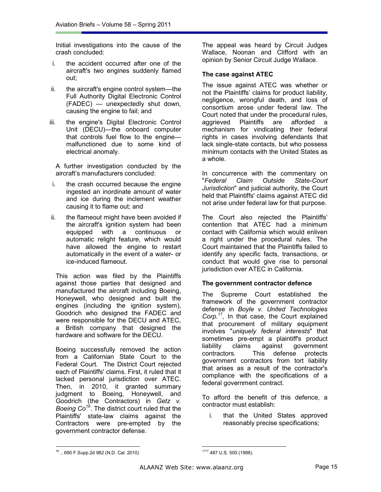Initial investigations into the cause of the crash concluded:

- i. the accident occurred after one of the aircraft's two engines suddenly flamed out;
- ii. the aircraft's engine control system—the Full Authority Digital Electronic Control (FADEC) — unexpectedly shut down, causing the engine to fail; and
- iii. the engine's Digital Electronic Control Unit (DECU)—the onboard computer that controls fuel flow to the engine malfunctioned due to some kind of electrical anomaly.

A further investigation conducted by the aircraft's manufacturers concluded:

- i. the crash occurred because the engine ingested an inordinate amount of water and ice during the inclement weather causing it to flame out; and
- ii. the flameout might have been avoided if the aircraft's ignition system had been equipped with a continuous or automatic relight feature, which would have allowed the engine to restart automatically in the event of a water- or ice-induced flameout.

This action was filed by the Plaintiffs against those parties that designed and manufactured the aircraft including Boeing, Honeywell, who designed and built the engines (including the ignition system), Goodrich who designed the FADEC and were responsible for the DECU and ATEC, a British company that designed the hardware and software for the DECU.

Boeing successfully removed the action from a Californian State Court to the Federal Court. The District Court rejected each of Plaintiffs' claims. First, it ruled that it lacked personal jurisdiction over ATEC. Then, in 2010, it granted summary judgment to Boeing, Honeywell, and Goodrich (the Contractors) in *Getz v. Boeing Co<sup>16</sup>*. The district court ruled that the Plaintiffs' state-law claims against the Contractors were pre-empted by the government contractor defense.

The appeal was heard by Circuit Judges Wallace, Noonan and Clifford with an opinion by Senior Circuit Judge Wallace.

## **The case against ATEC**

The issue against ATEC was whether or not the Plaintiffs' claims for product liability, negligence, wrongful death, and loss of consortium arose under federal law. The Court noted that under the procedural rules, aggrieved Plaintiffs are afforded a mechanism for vindicating their federal rights in cases involving defendants that lack single-state contacts, but who possess minimum contacts with the United States as a whole.

In concurrence with the commentary on "*Federal Claim Outside State-Court Jurisdiction*" and judicial authority, the Court held that Plaintiffs' claims against ATEC did not arise under federal law for that purpose.

The Court also rejected the Plaintiffs' contention that ATEC had a minimum contact with California which would enliven a right under the procedural rules. The Court maintained that the Plaintiffs failed to identify any specific facts, transactions, or conduct that would give rise to personal jurisdiction over ATEC in California.

## **The government contractor defence**

The Supreme Court established the framework of the government contractor defense in *Boyle v. United Technologies*  Corp.<sup>17</sup>, In that case, the Court explained that procurement of military equipment involves "*uniquely federal interests*" that sometimes pre-empt a plaintiff's product liability claims against government contractors. This defense protects government contractors from tort liability that arises as a result of the contractor's compliance with the specifications of a federal government contract.

To afford the benefit of this defence, a contractor must establish:

i. that the United States approved reasonably precise specifications;

 $\overline{a}$ 

<sup>16</sup> *.,* 690 F.Supp.2d 982 (N.D. Cal. 2010)

<sup>1717</sup> 487 U.S. 500 (1988).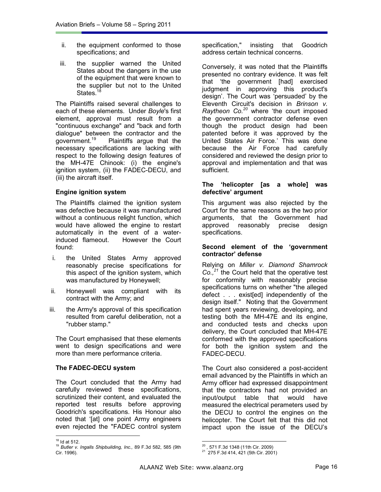- ii. the equipment conformed to those specifications; and
- iii. the supplier warned the United States about the dangers in the use of the equipment that were known to the supplier but not to the United States.<sup>1</sup>

The Plaintiffs raised several challenges to each of these elements. Under *Boyle*'s first element, approval must result from a "continuous exchange" and "back and forth dialogue" between the contractor and the government.<sup>19</sup> Plaintiffs argue that the Plaintiffs argue that the necessary specifications are lacking with respect to the following design features of the MH-47E Chinook: (i) the engine's ignition system, (ii) the FADEC-DECU, and (iii) the aircraft itself.

## **Engine ignition system**

The Plaintiffs claimed the ignition system was defective because it was manufactured without a continuous relight function, which would have allowed the engine to restart automatically in the event of a waterinduced flameout. However the Court found:

- i. the United States Army approved reasonably precise specifications for this aspect of the ignition system, which was manufactured by Honeywell;
- ii. Honeywell was compliant with its contract with the Army; and
- iii. the Army's approval of this specification resulted from careful deliberation, not a "rubber stamp."

The Court emphasised that these elements went to design specifications and were more than mere performance criteria.

## **The FADEC-DECU system**

The Court concluded that the Army had carefully reviewed these specifications, scrutinized their content, and evaluated the reported test results before approving Goodrich's specifications. His Honour also noted that '[at] one point Army engineers even rejected the "FADEC control system

 $\overline{a}$ 

specification," insisting that Goodrich address certain technical concerns.

Conversely, it was noted that the Plaintiffs presented no contrary evidence. It was felt that 'the government [had] exercised judgment in approving this product's design'. The Court was 'persuaded' by the Eleventh Circuit's decision in *Brinson v. Raytheon Co.<sup>20</sup>* where 'the court imposed the government contractor defense even though the product design had been patented before it was approved by the United States Air Force.' This was done because the Air Force had carefully considered and reviewed the design prior to approval and implementation and that was sufficient.

#### **The 'helicopter [as a whole] was defective' argument**

This argument was also rejected by the Court for the same reasons as the two prior arguments, that the Government had approved reasonably precise design specifications.

#### **Second element of the 'government contractor' defense**

Relying on *Miller v. Diamond Shamrock Co.,<sup>21</sup>* the Court held that the operative test for conformity with reasonably precise specifications turns on whether "the alleged defect . . . exist[ed] independently of the design itself." Noting that the Government had spent years reviewing, developing, and testing both the MH-47E and its engine, and conducted tests and checks upon delivery, the Court concluded that MH-47E conformed with the approved specifications for both the ignition system and the FADEC-DECU.

The Court also considered a post-accident email advanced by the Plaintiffs in which an Army officer had expressed disappointment that the contractors had not provided an input/output table that would have measured the electrical perameters used by the DECU to control the engines on the helicopter. The Court felt that this did not impact upon the issue of the DECU's

 $18$  Id at 512.

<sup>19</sup> *Butler v. Ingalls Shipbuilding, Inc.,* 89 F.3d 582, 585 (9th Cir. 1996).

<sup>&</sup>lt;sup>20</sup> , 571 F.3d 1348 (11th Cir. 2009)<br><sup>21</sup> 275 F.3d 414, 421 (5th Cir. 2001)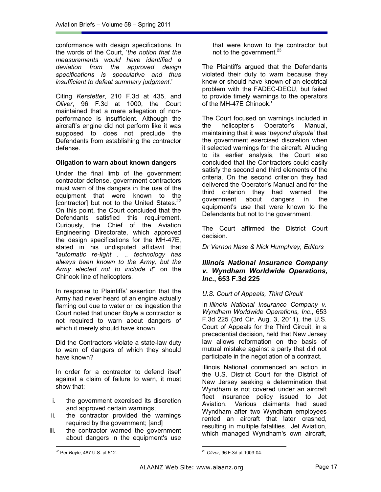conformance with design specifications. In the words of the Court, '*the notion that the measurements would have identified a deviation from the approved design specifications is speculative and thus insufficient to defeat summary judgment*.'

Citing *Kerstetter*, 210 F.3d at 435, and *Oliver*, 96 F.3d at 1000, the Court maintained that a mere allegation of nonperformance is insufficient. Although the aircraft's engine did not perform like it was supposed to does not preclude the Defendants from establishing the contractor defense.

## **Oligation to warn about known dangers**

Under the final limb of the government contractor defense, government contractors must warn of the dangers in the use of the equipment that were known to the [contractor] but not to the United States.<sup>22</sup> On this point, the Court concluded that the Defendants satisfied this requirement. Curiously, the Chief of the Aviation Engineering Directorate, which approved the design specifications for the MH-47E, stated in his undisputed affidavit that "*automatic re-light . .. technology has always been known to the Army, but the Army elected not to include it*" on the Chinook line of helicopters.

In response to Plaintiffs' assertion that the Army had never heard of an engine actually flaming out due to water or ice ingestion the Court noted that under *Boyle* a contractor is not required to warn about dangers of which it merely should have known.

Did the Contractors violate a state-law duty to warn of dangers of which they should have known?

In order for a contractor to defend itself against a claim of failure to warn, it must show that:

- i. the government exercised its discretion and approved certain warnings;
- ii. the contractor provided the warnings required by the government; [and]
- iii. the contractor warned the government about dangers in the equipment's use  $\overline{a}$

that were known to the contractor but not to the government.<sup>23</sup>

The Plaintiffs argued that the Defendants violated their duty to warn because they knew or should have known of an electrical problem with the FADEC-DECU, but failed to provide timely warnings to the operators of the MH-47E Chinook.'

The Court focused on warnings included in the helicopter's Operator's Manual, maintaining that it was '*beyond dispute*' that the government exercised discretion when it selected warnings for the aircraft. Alluding to its earlier analysis, the Court also concluded that the Contractors could easily satisfy the second and third elements of the criteria. On the second criterion they had delivered the Operator's Manual and for the third criterion they had warned the government about dangers in the equipment's use that were known to the Defendants but not to the government.

The Court affirmed the District Court decision.

*Dr Vernon Nase & Nick Humphrey, Editors* 

## *Illinois National Insurance Company v. Wyndham Worldwide Operations, Inc***., 653 F.3d 225**

## *U.S. Court of Appeals, Third Circuit*

In *Illinois National Insurance Company v. Wyndham Worldwide Operations, Inc*., 653 F.3d 225 (3rd Cir. Aug. 3, 2011), the U.S. Court of Appeals for the Third Circuit, in a precedential decision, held that New Jersey law allows reformation on the basis of mutual mistake against a party that did not participate in the negotiation of a contract.

Illinois National commenced an action in the U.S. District Court for the District of New Jersey seeking a determination that Wyndham is not covered under an aircraft fleet insurance policy issued to Jet Aviation. Various claimants had sued Wyndham after two Wyndham employees rented an aircraft that later crashed, resulting in multiple fatalities. Jet Aviation, which managed Wyndham's own aircraft,

<sup>22</sup> Per *Boyle*, 487 U.S. at 512.

<sup>23</sup> *Oliver,* 96 F.3d at 1003-04.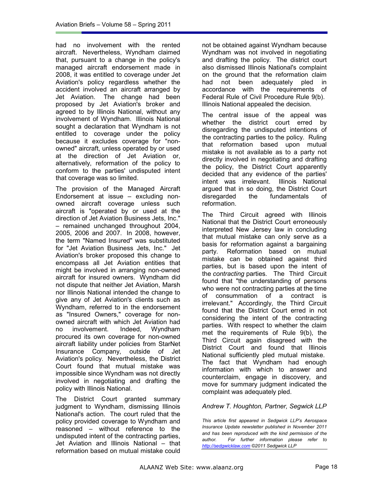had no involvement with the rented aircraft. Nevertheless, Wyndham claimed that, pursuant to a change in the policy's managed aircraft endorsement made in 2008, it was entitled to coverage under Jet Aviation's policy regardless whether the accident involved an aircraft arranged by Jet Aviation. The change had been proposed by Jet Aviation's broker and agreed to by Illinois National, without any involvement of Wyndham. Illinois National sought a declaration that Wyndham is not entitled to coverage under the policy because it excludes coverage for "nonowned" aircraft, unless operated by or used at the direction of Jet Aviation or, alternatively, reformation of the policy to conform to the parties' undisputed intent that coverage was so limited.

The provision of the Managed Aircraft Endorsement at issue – excluding nonowned aircraft coverage unless such aircraft is "operated by or used at the direction of Jet Aviation Business Jets, Inc." – remained unchanged throughout 2004, 2005, 2006 and 2007. In 2008, however, the term "Named Insured" was substituted for "Jet Aviation Business Jets, Inc." Jet Aviation's broker proposed this change to encompass all Jet Aviation entities that might be involved in arranging non-owned aircraft for insured owners. Wyndham did not dispute that neither Jet Aviation, Marsh nor Illinois National intended the change to give any of Jet Aviation's clients such as Wyndham, referred to in the endorsement as "Insured Owners," coverage for nonowned aircraft with which Jet Aviation had no involvement. Indeed, Wyndham procured its own coverage for non-owned aircraft liability under policies from StarNet Insurance Company, outside of Jet Aviation's policy. Nevertheless, the District Court found that mutual mistake was impossible since Wyndham was not directly involved in negotiating and drafting the policy with Illinois National.

The District Court granted summary judgment to Wyndham, dismissing Illinois National's action. The court ruled that the policy provided coverage to Wyndham and reasoned – without reference to the undisputed intent of the contracting parties, Jet Aviation and Illinois National – that reformation based on mutual mistake could

not be obtained against Wyndham because Wyndham was not involved in negotiating and drafting the policy. The district court also dismissed Illinois National's complaint on the ground that the reformation claim had not been adequately pled in accordance with the requirements of Federal Rule of Civil Procedure Rule 9(b). Illinois National appealed the decision.

The central issue of the appeal was whether the district court erred by disregarding the undisputed intentions of the contracting parties to the policy. Ruling that reformation based upon mutual mistake is not available as to a party not directly involved in negotiating and drafting the policy, the District Court apparently decided that any evidence of the parties' intent was irrelevant. Illinois National argued that in so doing, the District Court disregarded the fundamentals of reformation.

The Third Circuit agreed with Illinois National that the District Court erroneously interpreted New Jersey law in concluding that mutual mistake can only serve as a basis for reformation against a bargaining party. Reformation based on mutual mistake can be obtained against third parties, but is based upon the intent of the *contracting* parties. The Third Circuit found that "the understanding of persons who were not contracting parties at the time of consummation of a contract is irrelevant." Accordingly, the Third Circuit found that the District Court erred in not considering the intent of the contracting parties. With respect to whether the claim met the requirements of Rule 9(b), the Third Circuit again disagreed with the District Court and found that Illinois National sufficiently pled mutual mistake. The fact that Wyndham had enough information with which to answer and counterclaim, engage in discovery, and move for summary judgment indicated the complaint was adequately pled.

## *Andrew T. Houghton, Partner, Segwick LLP*

*This article first appeared in Sedgwick LLP's Aerospace Insurance Update newsletter published in November 2011 and has been reproduced with the kind permission of the author. For further information please refer to http://sedgwicklaw.com ©2011 Sedgwick LLP*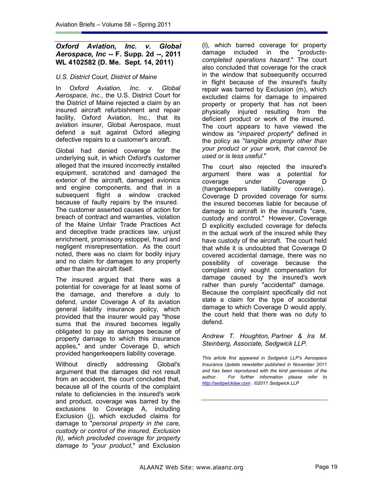## *Oxford Aviation, Inc. v. Global Aerospace, Inc* **-- F. Supp. 2d --, 2011 WL 4102582 (D. Me. Sept. 14, 2011)**

## *U.S. District Court, District of Maine*

In *Oxford Aviation, Inc. v. Global Aerospace, Inc*., the U.S. District Court for the District of Maine rejected a claim by an insured aircraft refurbishment and repair facility, Oxford Aviation, Inc., that its aviation insurer, Global Aerospace, must defend a suit against Oxford alleging defective repairs to a customer's aircraft.

Global had denied coverage for the underlying suit, in which Oxford's customer alleged that the insured incorrectly installed equipment, scratched and damaged the exterior of the aircraft, damaged avionics and engine components, and that in a subsequent flight a window cracked because of faulty repairs by the insured. The customer asserted causes of action for breach of contract and warranties, violation of the Maine Unfair Trade Practices Act and deceptive trade practices law, unjust enrichment, promissory estoppel, fraud and negligent misrepresentation. As the court noted, there was no claim for bodily injury and no claim for damages to any property other than the aircraft itself.

The insured argued that there was a potential for coverage for at least some of the damage, and therefore a duty to defend, under Coverage A of its aviation general liability insurance policy, which provided that the insurer would pay "those sums that the insured becomes legally obligated to pay as damages because of property damage to which this insurance applies," and under Coverage D, which provided hangerkeepers liability coverage.

Without directly addressing Global's argument that the damages did not result from an accident, the court concluded that, because all of the counts of the complaint relate to deficiencies in the insured's work and product, coverage was barred by the exclusions to Coverage A, including Exclusion (j), which excluded claims for damage to "*personal property in the care, custody or control of the insured, Exclusion (k), which precluded coverage for property damage to "your product*," and Exclusion (l), which barred coverage for property damage included in the "*productscompleted operations hazard*." The court also concluded that coverage for the crack in the window that subsequently occurred in flight because of the insured's faulty repair was barred by Exclusion (m), which excluded claims for damage to impaired property or property that has not been physically injured resulting from the deficient product or work of the insured. The court appears to have viewed the window as "*impaired property*" defined in the policy as "*tangible property other than your product or your work, that cannot be used or is less useful*."

The court also rejected the insured's argument there was a potential for coverage under Coverage D<br>(hangerkeepers liability coverage). (hangerkeepers liability coverage). Coverage D provided coverage for sums the insured becomes liable for because of damage to aircraft in the insured's "care, custody and control." However, Coverage D explicitly excluded coverage for defects in the actual work of the insured while they have custody of the aircraft. The court held that while it is undoubted that Coverage D covered accidental damage, there was no possibility of coverage because the complaint only sought compensation for damage caused by the insured's work rather than purely "accidental" damage. Because the complaint specifically did not state a claim for the type of accidental damage to which Coverage D would apply, the court held that there was no duty to defend.

*Andrew T. Houghton, Partner & Ira M. Steinberg, Associate, Sedgwick LLP.* 

*This article first appeared in Sedgwick LLP's Aerospace Insurance Update newsletter published in November 2011 and has been reproduced with the kind permission of the author. For further information please refer to http://sedgwicklaw.com . ©2011 Sedgwick LLP*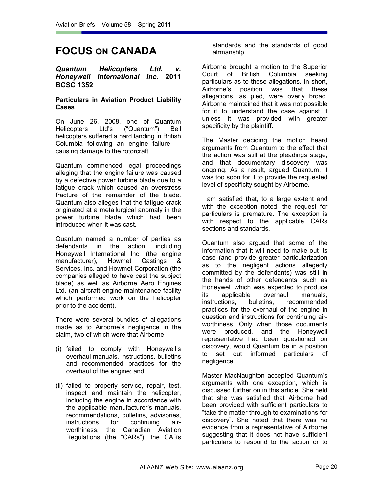## **FOCUS ON CANADA**

#### *Quantum Helicopters Ltd. v. Honeywell International Inc.* **2011 BCSC 1352**

## **Particulars in Aviation Product Liability Cases**

On June 26, 2008, one of Quantum Helicopters Ltd's ("Quantum") Bell helicopters suffered a hard landing in British Columbia following an engine failure causing damage to the rotorcraft.

Quantum commenced legal proceedings alleging that the engine failure was caused by a defective power turbine blade due to a fatigue crack which caused an overstress fracture of the remainder of the blade. Quantum also alleges that the fatigue crack originated at a metallurgical anomaly in the power turbine blade which had been introduced when it was cast.

Quantum named a number of parties as defendants in the action, including Honeywell International Inc. (the engine manufacturer), Howmet Castings & Services, Inc. and Howmet Corporation (the companies alleged to have cast the subject blade) as well as Airborne Aero Engines Ltd. (an aircraft engine maintenance facility which performed work on the helicopter prior to the accident).

There were several bundles of allegations made as to Airborne's negligence in the claim, two of which were that Airborne:

- (i) failed to comply with Honeywell's overhaul manuals, instructions, bulletins and recommended practices for the overhaul of the engine; and
- (ii) failed to properly service, repair, test, inspect and maintain the helicopter, including the engine in accordance with the applicable manufacturer's manuals, recommendations, bulletins, advisories, instructions for continuing airworthiness, the Canadian Aviation Regulations (the "CARs"), the CARs

standards and the standards of good airmanship.

Airborne brought a motion to the Superior Court of British Columbia seeking particulars as to these allegations. In short, Airborne's position was that these allegations, as pled, were overly broad. Airborne maintained that it was not possible for it to understand the case against it unless it was provided with greater specificity by the plaintiff.

The Master deciding the motion heard arguments from Quantum to the effect that the action was still at the pleadings stage, and that documentary discovery was ongoing. As a result, argued Quantum, it was too soon for it to provide the requested level of specificity sought by Airborne.

I am satisfied that, to a large ex-tent and with the exception noted, the request for particulars is premature. The exception is with respect to the applicable CARs sections and standards.

Quantum also argued that some of the information that it will need to make out its case (and provide greater particularization as to the negligent actions allegedly committed by the defendants) was still in the hands of other defendants, such as Honeywell which was expected to produce its applicable overhaul manuals, instructions, bulletins, recommended practices for the overhaul of the engine in question and instructions for continuing airworthiness. Only when those documents were produced, and the Honeywell representative had been questioned on discovery, would Quantum be in a position to set out informed particulars of negligence.

Master MacNaughton accepted Quantum's arguments with one exception, which is discussed further on in this article. She held that she was satisfied that Airborne had been provided with sufficient particulars to "take the matter through to examinations for discovery". She noted that there was no evidence from a representative of Airborne suggesting that it does not have sufficient particulars to respond to the action or to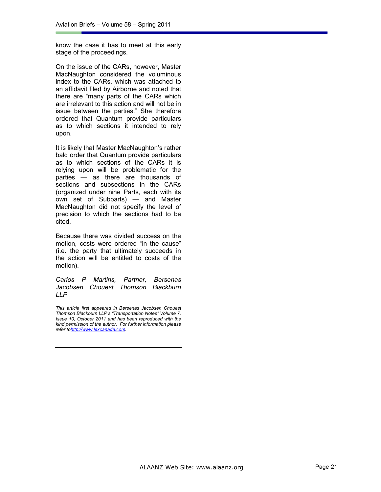know the case it has to meet at this early stage of the proceedings.

On the issue of the CARs, however, Master MacNaughton considered the voluminous index to the CARs, which was attached to an affidavit filed by Airborne and noted that there are "many parts of the CARs which are irrelevant to this action and will not be in issue between the parties." She therefore ordered that Quantum provide particulars as to which sections it intended to rely upon.

It is likely that Master MacNaughton's rather bald order that Quantum provide particulars as to which sections of the CARs it is relying upon will be problematic for the parties — as there are thousands of sections and subsections in the CARs (organized under nine Parts, each with its own set of Subparts) — and Master MacNaughton did not specify the level of precision to which the sections had to be cited.

Because there was divided success on the motion, costs were ordered "in the cause" (i.e. the party that ultimately succeeds in the action will be entitled to costs of the motion).

*Carlos P Martins, Partner, Bersenas Jacobsen Chouest Thomson Blackburn LLP* 

*This article first appeared in Bersenas Jacobsen Chouest Thomson Blackburn LLP's "Transportation Notes" Volume 7, Issue 10, October 2011 and has been reproduced with the kind permission of the author. For further information please refer tohttp://www.lexcanada.com.*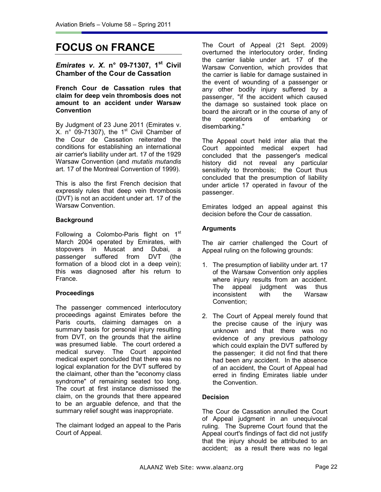## **FOCUS ON FRANCE**

*Emirates v. X***. n° 09-71307, 1st Civil Chamber of the Cour de Cassation** 

**French Cour de Cassation rules that claim for deep vein thrombosis does not amount to an accident under Warsaw Convention** 

By Judgment of 23 June 2011 (Emirates v.  $X.$  n° 09-71307), the 1<sup>st</sup> Civil Chamber of the Cour de Cassation reiterated the conditions for establishing an international air carrier's liability under art. 17 of the 1929 Warsaw Convention (and *mutatis mutandis* art. 17 of the Montreal Convention of 1999).

This is also the first French decision that expressly rules that deep vein thrombosis (DVT) is not an accident under art. 17 of the Warsaw Convention.

## **Background**

Following a Colombo-Paris flight on  $1<sup>st</sup>$ March 2004 operated by Emirates, with stopovers in Muscat and Dubai, a passenger suffered from DVT (the formation of a blood clot in a deep vein); this was diagnosed after his return to France.

## **Proceedings**

The passenger commenced interlocutory proceedings against Emirates before the Paris courts, claiming damages on a summary basis for personal injury resulting from DVT, on the grounds that the airline was presumed liable. The court ordered a medical survey. The Court appointed medical expert concluded that there was no logical explanation for the DVT suffered by the claimant, other than the "economy class syndrome" of remaining seated too long. The court at first instance dismissed the claim, on the grounds that there appeared to be an arguable defence, and that the summary relief sought was inappropriate.

The claimant lodged an appeal to the Paris Court of Appeal.

The Court of Appeal (21 Sept. 2009) overturned the interlocutory order, finding the carrier liable under art. 17 of the Warsaw Convention, which provides that the carrier is liable for damage sustained in the event of wounding of a passenger or any other bodily injury suffered by a passenger, "if the accident which caused the damage so sustained took place on board the aircraft or in the course of any of the operations of embarking or disembarking."

The Appeal court held inter alia that the Court appointed medical expert had concluded that the passenger's medical history did not reveal any particular sensitivity to thrombosis; the Court thus concluded that the presumption of liability under article 17 operated in favour of the passenger.

Emirates lodged an appeal against this decision before the Cour de cassation.

## **Arguments**

The air carrier challenged the Court of Appeal ruling on the following grounds:

- 1. The presumption of liability under art. 17 of the Warsaw Convention only applies where injury results from an accident. The appeal judgment was thus inconsistent with the Warsaw Convention;
- 2. The Court of Appeal merely found that the precise cause of the injury was unknown and that there was no evidence of any previous pathology which could explain the DVT suffered by the passenger; it did not find that there had been any accident. In the absence of an accident, the Court of Appeal had erred in finding Emirates liable under the Convention.

## **Decision**

The Cour de Cassation annulled the Court of Appeal judgment in an unequivocal ruling. The Supreme Court found that the Appeal court's findings of fact did not justify that the injury should be attributed to an accident; as a result there was no legal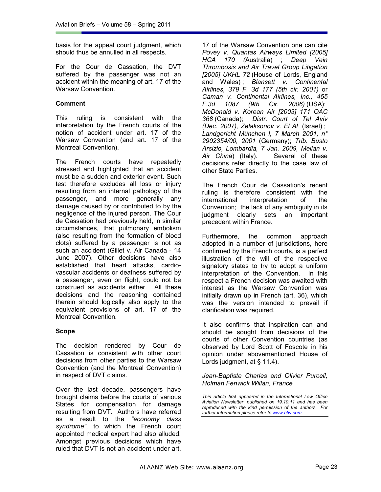basis for the appeal court judgment, which should thus be annulled in all respects.

For the Cour de Cassation, the DVT suffered by the passenger was not an accident within the meaning of art. 17 of the Warsaw Convention.

## **Comment**

This ruling is consistent with the interpretation by the French courts of the notion of accident under art. 17 of the Warsaw Convention (and art. 17 of the Montreal Convention).

The French courts have repeatedly stressed and highlighted that an accident must be a sudden and exterior event. Such test therefore excludes all loss or injury resulting from an internal pathology of the passenger, and more generally any damage caused by or contributed to by the negligence of the injured person. The Cour de Cassation had previously held, in similar circumstances, that pulmonary embolism (also resulting from the formation of blood clots) suffered by a passenger is not as such an accident (Gillet v. Air Canada - 14 June 2007). Other decisions have also established that heart attacks, cardiovascular accidents or deafness suffered by a passenger, even on flight, could not be construed as accidents either. All these decisions and the reasoning contained therein should logically also apply to the equivalent provisions of art. 17 of the Montreal Convention.

## **Scope**

The decision rendered by Cour de Cassation is consistent with other court decisions from other parties to the Warsaw Convention (and the Montreal Convention) in respect of DVT claims.

Over the last decade, passengers have brought claims before the courts of various States for compensation for damage resulting from DVT. Authors have referred as a result to the *"economy class syndrome"*, to which the French court appointed medical expert had also alluded*.* Amongst previous decisions which have ruled that DVT is not an accident under art.

17 of the Warsaw Convention one can cite *Povey v. Quantas Airways Limited [2005] HCA 170 (*Australia) ; *Deep Vein Thrombosis and Air Travel Group Litigation [2005] UKHL 72* (House of Lords, England and Wales) ; *Blansett v. Continental Airlines, 379 F. 3d 177 (5th cir. 2001)* or *Caman v. Continental Airlines, Inc., 455 F.3d 1087 (9th Cir. 2006)* (USA); *McDonald v. Korean Air [2003] 171 OAC 368* (Canada); *Distr. Court of Tel Aviv (Dec. 2007), Zelaksonov v. El Al* (Israel) ; *Landgericht München I, 7 March 2001, n° 2902354/00, 2001* (Germany); *Trib. Busto Arsizio, Lombardia, 7 Jan. 2009, Meilan v. Air China*) (Italy). Several of these decisions refer directly to the case law of other State Parties.

The French Cour de Cassation's recent ruling is therefore consistent with the international interpretation of the Convention; the lack of any ambiguity in its judgment clearly sets an important precedent within France.

Furthermore, the common approach adopted in a number of jurisdictions, here confirmed by the French courts, is a perfect illustration of the will of the respective signatory states to try to adopt a uniform interpretation of the Convention. In this respect a French decision was awaited with interest as the Warsaw Convention was initially drawn up in French (art. 36), which was the version intended to prevail if clarification was required.

It also confirms that inspiration can and should be sought from decisions of the courts of other Convention countries (as observed by Lord Scott of Foscote in his opinion under abovementioned House of Lords judgment, at § 11.4).

#### *Jean-Baptiste Charles and Olivier Purcell, Holman Fenwick Willan, France*

*This article first appeared in the International Law Office Aviation Newsletter published on 19.10.11 and has been reproduced with the kind permission of the authors. For further information please refer to www.hfw.com .*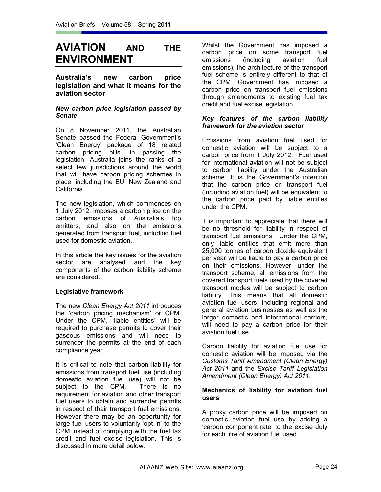## **AVIATION AND THE ENVIRONMENT**

**Australia's new carbon price legislation and what it means for the aviation sector** 

## *New carbon price legislation passed by Senate*

On 8 November 2011, the Australian Senate passed the Federal Government's 'Clean Energy' package of 18 related carbon pricing bills. In passing the legislation, Australia joins the ranks of a select few jurisdictions around the world that will have carbon pricing schemes in place, including the EU, New Zealand and California.

The new legislation, which commences on 1 July 2012, imposes a carbon price on the carbon emissions of Australia's top emitters, and also on the emissions generated from transport fuel, including fuel used for domestic aviation.

In this article the key issues for the aviation sector are analysed and the key components of the carbon liability scheme are considered.

## **Legislative framework**

The new *Clean Energy Act 2011* introduces the 'carbon pricing mechanism' or CPM. Under the CPM, 'liable entitles' will be required to purchase permits to cover their gaseous emissions and will need to surrender the permits at the end of each compliance year.

It is critical to note that carbon liability for emissions from transport fuel use (including domestic aviation fuel use) will not be subject to the CPM. There is no requirement for aviation and other transport fuel users to obtain and surrender permits in respect of their transport fuel emissions. However there may be an opportunity for large fuel users to voluntarily 'opt in' to the CPM instead of complying with the fuel tax credit and fuel excise legislation. This is discussed in more detail below.

Whilst the Government has imposed a carbon price on some transport fuel emissions (including aviation fuel emissions), the architecture of the transport fuel scheme is entirely different to that of the CPM. Government has imposed a carbon price on transport fuel emissions through amendments to existing fuel tax credit and fuel excise legislation.

## *Key features of the carbon liability framework for the aviation sector*

Emissions from aviation fuel used for domestic aviation will be subject to a carbon price from 1 July 2012. Fuel used for international aviation will not be subject to carbon liability under the Australian scheme. It is the Government's intention that the carbon price on transport fuel (including aviation fuel) will be equivalent to the carbon price paid by liable entities under the CPM.

It is important to appreciate that there will be no threshold for liability in respect of transport fuel emissions. Under the CPM, only liable entities that emit more than 25,000 tonnes of carbon dioxide equivalent per year will be liable to pay a carbon price on their emissions. However, under the transport scheme, all emissions from the covered transport fuels used by the covered transport modes will be subject to carbon liability. This means that all domestic aviation fuel users, including regional and general aviation businesses as well as the larger domestic and international carriers, will need to pay a carbon price for their aviation fuel use.

Carbon liability for aviation fuel use for domestic aviation will be imposed via the *Customs Tariff Amendment (Clean Energy) Act 2011* and the *Excise Tariff Legislation Amendment (Clean Energy) Act 2011*.

#### **Mechanics of liability for aviation fuel users**

A proxy carbon price will be imposed on domestic aviation fuel use by adding a 'carbon component rate' to the excise duty for each litre of aviation fuel used.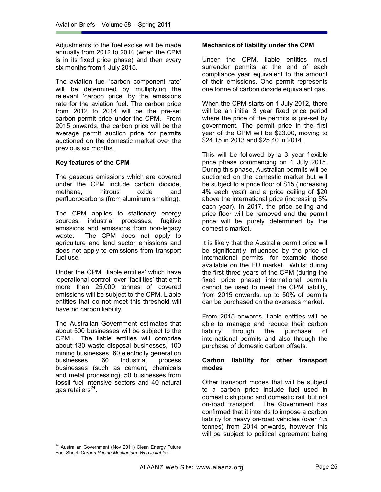Adjustments to the fuel excise will be made annually from 2012 to 2014 (when the CPM is in its fixed price phase) and then every six months from 1 July 2015.

The aviation fuel 'carbon component rate' will be determined by multiplying the relevant 'carbon price' by the emissions rate for the aviation fuel. The carbon price from 2012 to 2014 will be the pre-set carbon permit price under the CPM. From 2015 onwards, the carbon price will be the average permit auction price for permits auctioned on the domestic market over the previous six months.

## **Key features of the CPM**

The gaseous emissions which are covered under the CPM include carbon dioxide, methane, nitrous oxide and perfluorocarbons (from aluminum smelting).

The CPM applies to stationary energy sources, industrial processes, fugitive emissions and emissions from non-legacy waste. The CPM does not apply to agriculture and land sector emissions and does not apply to emissions from transport fuel use.

Under the CPM, 'liable entitles' which have 'operational control' over 'facilities' that emit more than 25,000 tonnes of covered emissions will be subject to the CPM. Liable entities that do not meet this threshold will have no carbon liability.

The Australian Government estimates that about 500 businesses will be subject to the CPM. The liable entities will comprise about 130 waste disposal businesses, 100 mining businesses, 60 electricity generation businesses, 60 industrial process businesses (such as cement, chemicals and metal processing), 50 businesses from fossil fuel intensive sectors and 40 natural gas retailers<sup>24</sup>.

## **Mechanics of liability under the CPM**

Under the CPM, liable entities must surrender permits at the end of each compliance year equivalent to the amount of their emissions. One permit represents one tonne of carbon dioxide equivalent gas.

When the CPM starts on 1 July 2012, there will be an initial 3 year fixed price period where the price of the permits is pre-set by government. The permit price in the first year of the CPM will be \$23.00, moving to \$24.15 in 2013 and \$25.40 in 2014.

This will be followed by a 3 year flexible price phase commencing on 1 July 2015. During this phase, Australian permits will be auctioned on the domestic market but will be subject to a price floor of \$15 (increasing 4% each year) and a price ceiling of \$20 above the international price (increasing 5% each year). In 2017, the price ceiling and price floor will be removed and the permit price will be purely determined by the domestic market.

It is likely that the Australia permit price will be significantly influenced by the price of international permits, for example those available on the EU market. Whilst during the first three years of the CPM (during the fixed price phase) international permits cannot be used to meet the CPM liability, from 2015 onwards, up to 50% of permits can be purchased on the overseas market.

From 2015 onwards, liable entitles will be able to manage and reduce their carbon liability through the purchase of international permits and also through the purchase of domestic carbon offsets.

## **Carbon liability for other transport modes**

Other transport modes that will be subject to a carbon price include fuel used in domestic shipping and domestic rail, but not on-road transport. The Government has confirmed that it intends to impose a carbon liability for heavy on-road vehicles (over 4.5 tonnes) from 2014 onwards, however this will be subject to political agreement being

<sup>&</sup>lt;sup>24</sup> Australian Government (Nov 2011) Clean Energy Future Fact Sheet '*Carbon Pricing Mechanism: Who is liable?*'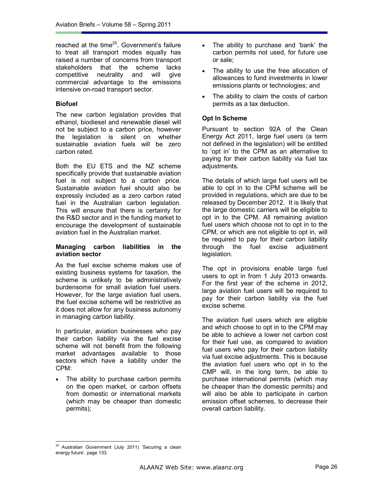reached at the time<sup>25</sup>. Government's failure to treat all transport modes equally has raised a number of concerns from transport stakeholders that the scheme lacks competitive neutrality and will give commercial advantage to the emissions intensive on-road transport sector.

## **Biofuel**

The new carbon legislation provides that ethanol, biodiesel and renewable diesel will not be subject to a carbon price, however the legislation is silent on whether sustainable aviation fuels will be zero carbon rated.

Both the EU ETS and the NZ scheme specifically provide that sustainable aviation fuel is not subject to a carbon price. Sustainable aviation fuel should also be expressly included as a zero carbon rated fuel in the Australian carbon legislation. This will ensure that there is certainty for the R&D sector and in the funding market to encourage the development of sustainable aviation fuel in the Australian market.

#### **Managing carbon liabilities in the aviation sector**

As the fuel excise scheme makes use of existing business systems for taxation, the scheme is unlikely to be administratively burdensome for small aviation fuel users. However, for the large aviation fuel users, the fuel excise scheme will be restrictive as it does not allow for any business autonomy in managing carbon liability.

In particular, aviation businesses who pay their carbon liability via the fuel excise scheme will not benefit from the following market advantages available to those sectors which have a liability under the CPM:

The ability to purchase carbon permits on the open market, or carbon offsets from domestic or international markets (which may be cheaper than domestic permits);

- The ability to purchase and 'bank' the carbon permits not used, for future use or sale;
- The ability to use the free allocation of allowances to fund investments in lower emissions plants or technologies; and
- The ability to claim the costs of carbon permits as a tax deduction.

## **Opt In Scheme**

Pursuant to section 92A of the Clean Energy Act 2011, large fuel users (a term not defined in the legislation) will be entitled to 'opt in' to the CPM as an alternative to paying for their carbon liability via fuel tax adjustments.

The details of which large fuel users will be able to opt in to the CPM scheme will be provided in regulations, which are due to be released by December 2012. It is likely that the large domestic carriers will be eligible to opt in to the CPM. All remaining aviation fuel users which choose not to opt in to the CPM, or which are not eligible to opt in, will be required to pay for their carbon liability through the fuel excise adjustment legislation.

The opt in provisions enable large fuel users to opt in from 1 July 2013 onwards. For the first year of the scheme in 2012, large aviation fuel users will be required to pay for their carbon liability via the fuel excise scheme.

The aviation fuel users which are eligible and which choose to opt in to the CPM may be able to achieve a lower net carbon cost for their fuel use, as compared to aviation fuel users who pay for their carbon liability via fuel excise adjustments. This is because the aviation fuel users who opt in to the CMP will, in the long term, be able to purchase international permits (which may be cheaper than the domestic permits) and will also be able to participate in carbon emission offset schemes, to decrease their overall carbon liability.

<sup>&</sup>lt;sup>25</sup> Australian Government (July 2011) 'Securing a clean energy future', page 133.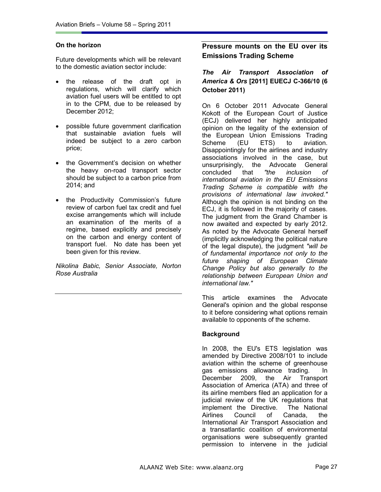#### **On the horizon**

Future developments which will be relevant to the domestic aviation sector include:

- the release of the draft opt in regulations, which will clarify which aviation fuel users will be entitled to opt in to the CPM, due to be released by December 2012;
- possible future government clarification that sustainable aviation fuels will indeed be subject to a zero carbon price;
- the Government's decision on whether the heavy on-road transport sector should be subject to a carbon price from 2014; and
- the Productivity Commission's future review of carbon fuel tax credit and fuel excise arrangements which will include an examination of the merits of a regime, based explicitly and precisely on the carbon and energy content of transport fuel. No date has been yet been given for this review.

*Nikolina Babic, Senior Associate, Norton Rose Australia* 

## **Pressure mounts on the EU over its Emissions Trading Scheme**

## *The Air Transport Association of America & Ors* **[2011] EUECJ C-366/10 (6 October 2011)**

On 6 October 2011 Advocate General Kokott of the European Court of Justice (ECJ) delivered her highly anticipated opinion on the legality of the extension of the European Union Emissions Trading Scheme (EU ETS) to aviation. Disappointingly for the airlines and industry associations involved in the case, but unsurprisingly, the Advocate General concluded that *"the inclusion of international aviation in the EU Emissions Trading Scheme is compatible with the provisions of international law invoked."* Although the opinion is not binding on the ECJ, it is followed in the majority of cases. The judgment from the Grand Chamber is now awaited and expected by early 2012. As noted by the Advocate General herself (implicitly acknowledging the political nature of the legal dispute), the judgment *"will be of fundamental importance not only to the future shaping of European Climate Change Policy but also generally to the relationship between European Union and international law."* 

This article examines the Advocate General's opinion and the global response to it before considering what options remain available to opponents of the scheme.

#### **Background**

In 2008, the EU's ETS legislation was amended by Directive 2008/101 to include aviation within the scheme of greenhouse gas emissions allowance trading. In December 2009, the Air Transport Association of America (ATA) and three of its airline members filed an application for a judicial review of the UK regulations that implement the Directive. The National Airlines Council of Canada, the International Air Transport Association and a transatlantic coalition of environmental organisations were subsequently granted permission to intervene in the judicial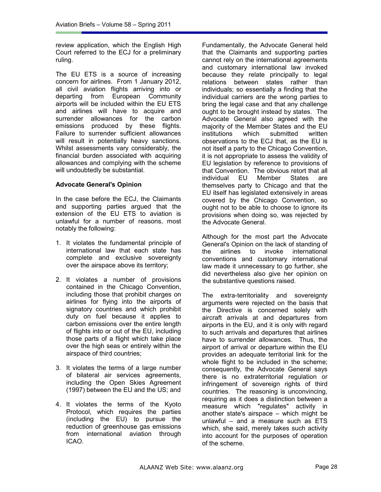review application, which the English High Court referred to the ECJ for a preliminary ruling.

The EU ETS is a source of increasing concern for airlines. From 1 January 2012, all civil aviation flights arriving into or departing from European Community airports will be included within the EU ETS and airlines will have to acquire and surrender allowances for the carbon emissions produced by these flights. Failure to surrender sufficient allowances will result in potentially heavy sanctions. Whilst assessments vary considerably, the financial burden associated with acquiring allowances and complying with the scheme will undoubtedly be substantial.

## **Advocate General's Opinion**

In the case before the ECJ, the Claimants and supporting parties argued that the extension of the EU ETS to aviation is unlawful for a number of reasons, most notably the following:

- 1. It violates the fundamental principle of international law that each state has complete and exclusive sovereignty over the airspace above its territory;
- 2. It violates a number of provisions contained in the Chicago Convention, including those that prohibit charges on airlines for flying into the airports of signatory countries and which prohibit duty on fuel because it applies to carbon emissions over the entire length of flights into or out of the EU, including those parts of a flight which take place over the high seas or entirely within the airspace of third countries;
- 3. It violates the terms of a large number of bilateral air services agreements, including the Open Skies Agreement (1997) between the EU and the US; and
- 4. It violates the terms of the Kyoto Protocol, which requires the parties (including the EU) to pursue the reduction of greenhouse gas emissions from international aviation through ICAO.

Fundamentally, the Advocate General held that the Claimants and supporting parties cannot rely on the international agreements and customary international law invoked because they relate principally to legal relations between states rather than individuals; so essentially a finding that the individual carriers are the wrong parties to bring the legal case and that any challenge ought to be brought instead by states. The Advocate General also agreed with the majority of the Member States and the EU<br>institutions which submitted written institutions which submitted written observations to the ECJ that, as the EU is not itself a party to the Chicago Convention, it is not appropriate to assess the validity of EU legislation by reference to provisions of that Convention. The obvious retort that all<br>individual EU Member States are individual EU Member States are themselves party to Chicago and that the EU itself has legislated extensively in areas covered by the Chicago Convention, so ought not to be able to choose to ignore its provisions when doing so, was rejected by the Advocate General.

Although for the most part the Advocate General's Opinion on the lack of standing of the airlines to invoke international conventions and customary international law made it unnecessary to go further, she did nevertheless also give her opinion on the substantive questions raised.

The extra-territoriality and sovereignty arguments were rejected on the basis that the Directive is concerned solely with aircraft arrivals at and departures from airports in the EU, and it is only with regard to such arrivals and departures that airlines have to surrender allowances. Thus, the airport of arrival or departure within the EU provides an adequate territorial link for the whole flight to be included in the scheme; consequently, the Advocate General says there is no extraterritorial regulation or infringement of sovereign rights of third countries. The reasoning is unconvincing, requiring as it does a distinction between a measure which "regulates" activity in another state's airspace – which might be unlawful – and a measure such as ETS which, she said, merely takes such activity into account for the purposes of operation of the scheme.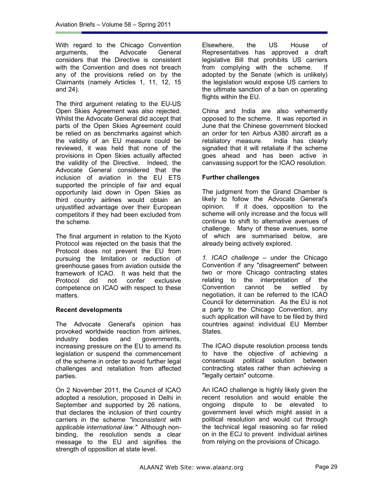With regard to the Chicago Convention arguments, the Advocate General considers that the Directive is consistent with the Convention and does not breach any of the provisions relied on by the Claimants (namely Articles 1, 11, 12, 15 and 24).

The third argument relating to the EU-US Open Skies Agreement was also rejected. Whilst the Advocate General did accept that parts of the Open Skies Agreement could be relied on as benchmarks against which the validity of an EU measure could be reviewed, it was held that none of the provisions in Open Skies actually affected the validity of the Directive. Indeed, the Advocate General considered that the inclusion of aviation in the EU ETS supported the principle of fair and equal opportunity laid down in Open Skies as third country airlines would obtain an unjustified advantage over their European competitors if they had been excluded from the scheme.

The final argument in relation to the Kyoto Protocol was rejected on the basis that the Protocol does not prevent the EU from pursuing the limitation or reduction of greenhouse gases from aviation outside the framework of ICAO. It was held that the Protocol did not confer exclusive competence on ICAO with respect to these matters.

## **Recent developments**

The Advocate General's opinion has provoked worldwide reaction from airlines, industry bodies and governments, increasing pressure on the EU to amend its legislation or suspend the commencement of the scheme in order to avoid further legal challenges and retaliation from affected parties.

On 2 November 2011, the Council of ICAO adopted a resolution, proposed in Delhi in September and supported by 26 nations, that declares the inclusion of third country carriers in the scheme *"inconsistent with applicable international law."* Although nonbinding, the resolution sends a clear message to the EU and signifies the strength of opposition at state level.

Elsewhere, the US House of Representatives has approved a draft legislative Bill that prohibits US carriers from complying with the scheme. adopted by the Senate (which is unlikely) the legislation would expose US carriers to the ultimate sanction of a ban on operating flights within the EU.

China and India are also vehemently opposed to the scheme. It was reported in June that the Chinese government blocked an order for ten Airbus A380 aircraft as a retaliatory measure. India has clearly signalled that it will retaliate if the scheme goes ahead and has been active in canvassing support for the ICAO resolution.

## **Further challenges**

The judgment from the Grand Chamber is likely to follow the Advocate General's opinion. If it does, opposition to the scheme will only increase and the focus will continue to shift to alternative avenues of challenge. Many of these avenues, some of which are summarised below, are already being actively explored.

*1. ICAO challenge* – under the Chicago Convention if any "disagreement" between two or more Chicago contracting states relating to the interpretation of the Convention cannot be settled by negotiation, it can be referred to the ICAO Council for determination. As the EU is not a party to the Chicago Convention, any such application will have to be filed by third countries against individual EU Member States.

The ICAO dispute resolution process tends to have the objective of achieving a consensual political solution between contracting states rather than achieving a "legally certain" outcome.

An ICAO challenge is highly likely given the recent resolution and would enable the ongoing dispute to be elevated to government level which might assist in a political resolution and would cut through the technical legal reasoning so far relied on in the ECJ to prevent individual airlines from relying on the provisions of Chicago.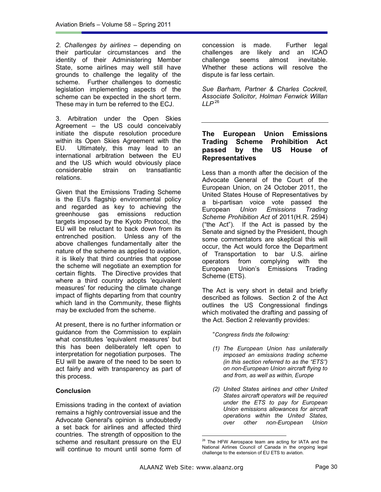*2. Challenges by airlines* – depending on their particular circumstances and the identity of their Administering Member State, some airlines may well still have grounds to challenge the legality of the scheme. Further challenges to domestic legislation implementing aspects of the scheme can be expected in the short term. These may in turn be referred to the ECJ.

3. Arbitration under the Open Skies Agreement – the US could conceivably initiate the dispute resolution procedure within its Open Skies Agreement with the EU. Ultimately, this may lead to an international arbitration between the EU and the US which would obviously place considerable strain on transatlantic relations.

Given that the Emissions Trading Scheme is the EU's flagship environmental policy and regarded as key to achieving the greenhouse gas emissions reduction targets imposed by the Kyoto Protocol, the EU will be reluctant to back down from its entrenched position. Unless any of the above challenges fundamentally alter the nature of the scheme as applied to aviation, it is likely that third countries that oppose the scheme will negotiate an exemption for certain flights. The Directive provides that where a third country adopts 'equivalent measures' for reducing the climate change impact of flights departing from that country which land in the Community, these flights may be excluded from the scheme.

At present, there is no further information or guidance from the Commission to explain what constitutes 'equivalent measures' but this has been deliberately left open to interpretation for negotiation purposes. The EU will be aware of the need to be seen to act fairly and with transparency as part of this process.

## **Conclusion**

Emissions trading in the context of aviation remains a highly controversial issue and the Advocate General's opinion is undoubtedly a set back for airlines and affected third countries. The strength of opposition to the scheme and resultant pressure on the EU will continue to mount until some form of

concession is made. Further legal challenges are likely and an ICAO challenge seems almost inevitable. Whether these actions will resolve the dispute is far less certain.

*Sue Barham, Partner & Charles Cockrell, Associate Solicitor, Holman Fenwick Willan LLP*<sup>26</sup>

## **The European Union Emissions Trading Scheme Prohibition Act passed by the US House of Representatives**

Less than a month after the decision of the Advocate General of the Court of the European Union, on 24 October 2011, the United States House of Representatives by a bi-partisan voice vote passed the European *Union Emissions Trading Scheme Prohibition Act* of 2011(H.R. 2594) ("the Act"). If the Act is passed by the Senate and signed by the President, though some commentators are skeptical this will occur, the Act would force the Department of Transportation to bar U.S. airline operators from complying with the European Union's Emissions Trading Scheme (ETS).

The Act is very short in detail and briefly described as follows. Section 2 of the Act outlines the US Congressional findings which motivated the drafting and passing of the Act. Section 2 relevantly provides:

"*Congress finds the following:* 

- *(1) The European Union has unilaterally imposed an emissions trading scheme (in this section referred to as the "ETS") on non-European Union aircraft flying to and from, as well as within, Europe*
- *(2) United States airlines and other United States aircraft operators will be required under the ETS to pay for European Union emissions allowances for aircraft operations within the United States, over other non-European Union*

<sup>&</sup>lt;sup>26</sup> The HFW Aerospace team are acting for IATA and the National Airlines Council of Canada in the ongoing legal challenge to the extension of EU ETS to aviation.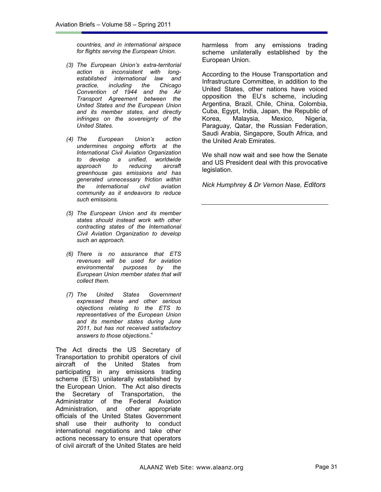*countries, and in international airspace for flights serving the European Union.* 

- *(3) The European Union's extra-territorial action is inconsistent with longestablished international law and practice, including the Chicago Convention of 1944 and the Air Transport Agreement between the United States and the European Union and its member states, and directly infringes on the sovereignty of the United States.*
- *(4) The European Union's action undermines ongoing efforts at the International Civil Aviation Organization to develop a unified, worldwide approach to reducing aircraft greenhouse gas emissions and has generated unnecessary friction within the international civil aviation community as it endeavors to reduce such emissions.*
- *(5) The European Union and its member states should instead work with other contracting states of the International Civil Aviation Organization to develop such an approach.*
- *(6) There is no assurance that ETS revenues will be used for aviation environmental purposes by the European Union member states that will collect them.*
- *(7) The United States Government expressed these and other serious objections relating to the ETS to representatives of the European Union and its member states during June 2011, but has not received satisfactory answers to those objections*."

The Act directs the US Secretary of Transportation to prohibit operators of civil aircraft of the United States from participating in any emissions trading scheme (ETS) unilaterally established by the European Union. The Act also directs the Secretary of Transportation, the Administrator of the Federal Aviation Administration, and other appropriate officials of the United States Government shall use their authority to conduct international negotiations and take other actions necessary to ensure that operators of civil aircraft of the United States are held

harmless from any emissions trading scheme unilaterally established by the European Union.

According to the House Transportation and Infrastructure Committee, in addition to the United States, other nations have voiced opposition the EU's scheme, including Argentina, Brazil, Chile, China, Colombia, Cuba, Egypt, India, Japan, the Republic of Korea, Malaysia, Mexico, Nigeria, Paraguay, Qatar, the Russian Federation, Saudi Arabia, Singapore, South Africa, and the United Arab Emirates.

We shall now wait and see how the Senate and US President deal with this provocative legislation.

*Nick Humphrey & Dr Vernon Nase, Editors*